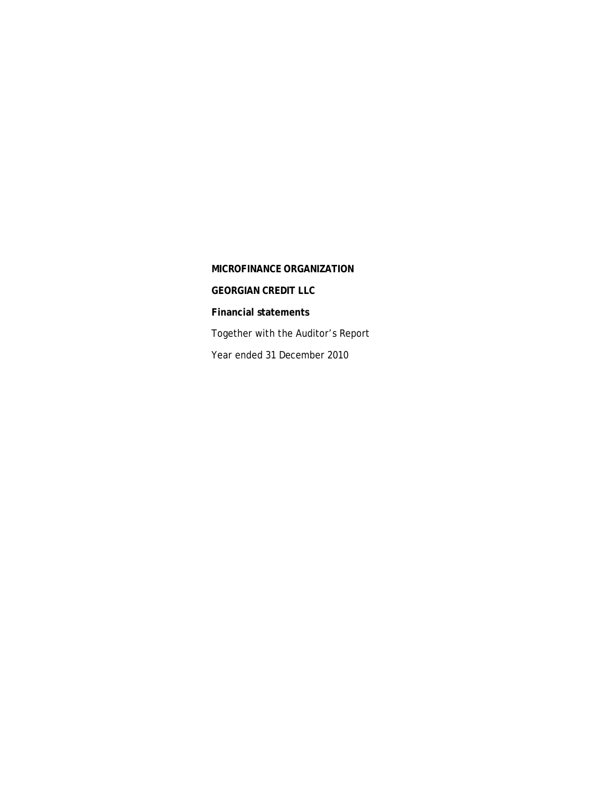# **MICROFINANCE ORGANIZATION GEORGIAN CREDIT LLC Financial statements**  Together with the Auditor's Report Year ended 31 December 2010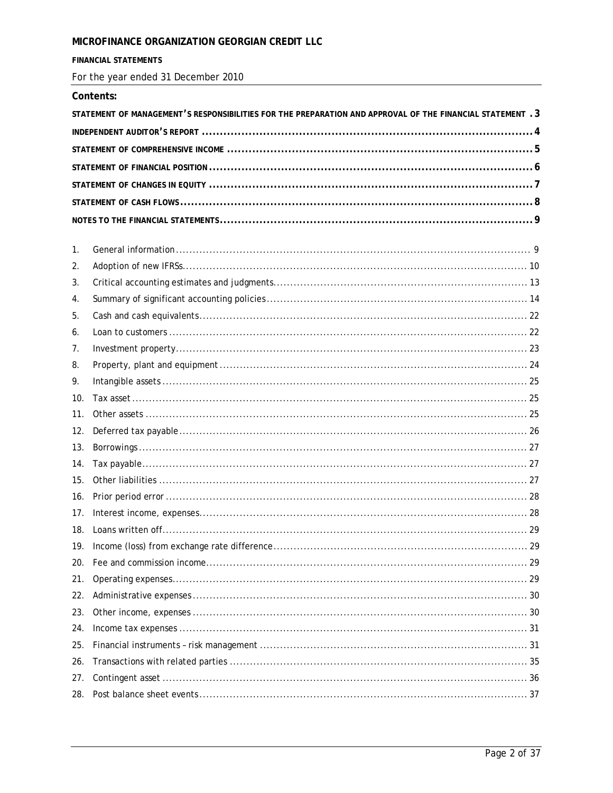### **FINANCIAL STATEMENTS**

For the year ended 31 December 2010

# Contents:

| STATEMENT OF MANAGEMENT'S RESPONSIBILITIES FOR THE PREPARATION AND APPROVAL OF THE FINANCIAL STATEMENT . 3 |  |  |  |  |
|------------------------------------------------------------------------------------------------------------|--|--|--|--|
|                                                                                                            |  |  |  |  |
|                                                                                                            |  |  |  |  |
|                                                                                                            |  |  |  |  |
|                                                                                                            |  |  |  |  |
|                                                                                                            |  |  |  |  |
|                                                                                                            |  |  |  |  |
|                                                                                                            |  |  |  |  |
| 1.                                                                                                         |  |  |  |  |
| 2.                                                                                                         |  |  |  |  |
| 3.                                                                                                         |  |  |  |  |
| 4.                                                                                                         |  |  |  |  |
| 5.                                                                                                         |  |  |  |  |
| 6.                                                                                                         |  |  |  |  |
| 7.                                                                                                         |  |  |  |  |
| 8.                                                                                                         |  |  |  |  |
| 9.                                                                                                         |  |  |  |  |
| 10.                                                                                                        |  |  |  |  |
| 11.                                                                                                        |  |  |  |  |
| 12.                                                                                                        |  |  |  |  |
| 13.                                                                                                        |  |  |  |  |
| 14.                                                                                                        |  |  |  |  |
| 15.                                                                                                        |  |  |  |  |
| 16.                                                                                                        |  |  |  |  |
| 17.                                                                                                        |  |  |  |  |
| 18.                                                                                                        |  |  |  |  |
| 19.                                                                                                        |  |  |  |  |
| 20.                                                                                                        |  |  |  |  |
| 21.                                                                                                        |  |  |  |  |
| 22.                                                                                                        |  |  |  |  |
| 23.                                                                                                        |  |  |  |  |
| 24.                                                                                                        |  |  |  |  |
| 25.                                                                                                        |  |  |  |  |
| 26.                                                                                                        |  |  |  |  |
| 27.                                                                                                        |  |  |  |  |
| 28.                                                                                                        |  |  |  |  |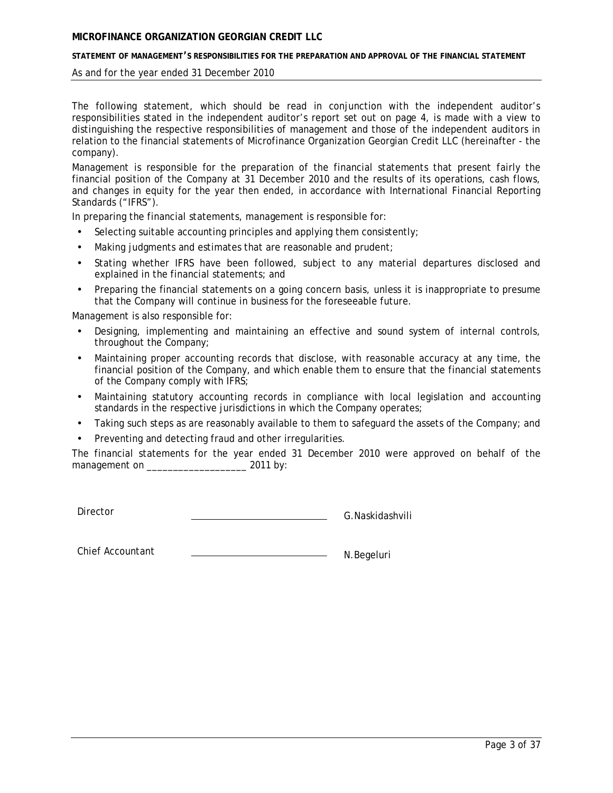#### **STATEMENT OF MANAGEMENT'S RESPONSIBILITIES FOR THE PREPARATION AND APPROVAL OF THE FINANCIAL STATEMENT**

#### As and for the year ended 31 December 2010

The following statement, which should be read in conjunction with the independent auditor's responsibilities stated in the independent auditor's report set out on page 4, is made with a view to distinguishing the respective responsibilities of management and those of the independent auditors in relation to the financial statements of Microfinance Organization Georgian Credit LLC (hereinafter - the company).

Management is responsible for the preparation of the financial statements that present fairly the financial position of the Company at 31 December 2010 and the results of its operations, cash flows, and changes in equity for the year then ended, in accordance with International Financial Reporting Standards ("IFRS").

In preparing the financial statements, management is responsible for:

- Selecting suitable accounting principles and applying them consistently;
- Making judgments and estimates that are reasonable and prudent;
- Stating whether IFRS have been followed, subject to any material departures disclosed and explained in the financial statements; and
- Preparing the financial statements on a going concern basis, unless it is inappropriate to presume that the Company will continue in business for the foreseeable future.

Management is also responsible for:

- Designing, implementing and maintaining an effective and sound system of internal controls, throughout the Company;
- Maintaining proper accounting records that disclose, with reasonable accuracy at any time, the financial position of the Company, and which enable them to ensure that the financial statements of the Company comply with IFRS;
- Maintaining statutory accounting records in compliance with local legislation and accounting standards in the respective jurisdictions in which the Company operates;
- Taking such steps as are reasonably available to them to safeguard the assets of the Company; and
- Preventing and detecting fraud and other irregularities.

The financial statements for the year ended 31 December 2010 were approved on behalf of the management on \_\_\_\_\_\_\_\_\_\_\_\_\_\_\_\_\_\_\_ 2011 by:

Director G.Naskidashvili

Chief Accountant 2000 Chief Accountant 2000 Chief Accountant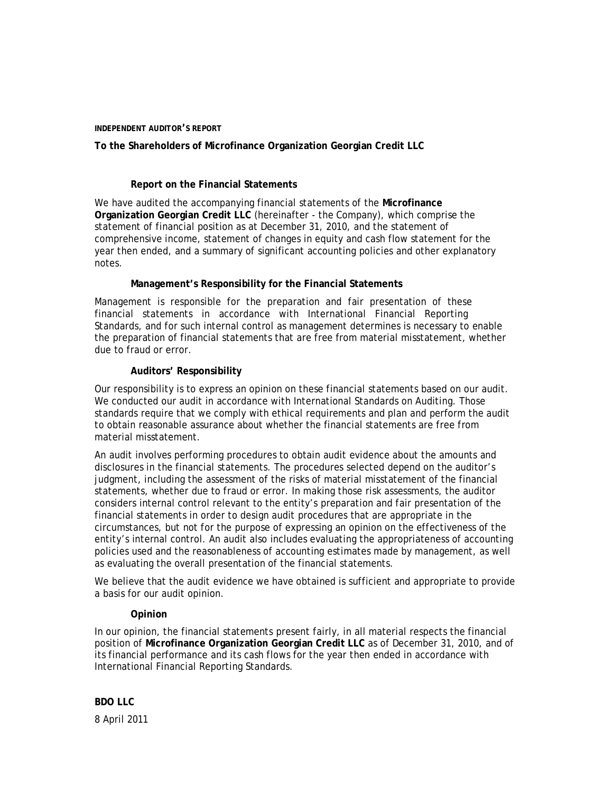#### **INDEPENDENT AUDITOR'S REPORT**

# **To the Shareholders of Microfinance Organization Georgian Credit LLC**

## **Report on the Financial Statements**

We have audited the accompanying financial statements of the **Microfinance Organization Georgian Credit LLC** (hereinafter - the Company), which comprise the statement of financial position as at December 31, 2010, and the statement of comprehensive income, statement of changes in equity and cash flow statement for the year then ended, and a summary of significant accounting policies and other explanatory notes.

## **Management's Responsibility for the Financial Statements**

Management is responsible for the preparation and fair presentation of these financial statements in accordance with International Financial Reporting Standards, and for such internal control as management determines is necessary to enable the preparation of financial statements that are free from material misstatement, whether due to fraud or error.

### **Auditors' Responsibility**

Our responsibility is to express an opinion on these financial statements based on our audit. We conducted our audit in accordance with International Standards on Auditing. Those standards require that we comply with ethical requirements and plan and perform the audit to obtain reasonable assurance about whether the financial statements are free from material misstatement.

An audit involves performing procedures to obtain audit evidence about the amounts and disclosures in the financial statements. The procedures selected depend on the auditor's judgment, including the assessment of the risks of material misstatement of the financial statements, whether due to fraud or error. In making those risk assessments, the auditor considers internal control relevant to the entity's preparation and fair presentation of the financial statements in order to design audit procedures that are appropriate in the circumstances, but not for the purpose of expressing an opinion on the effectiveness of the entity's internal control. An audit also includes evaluating the appropriateness of accounting policies used and the reasonableness of accounting estimates made by management, as well as evaluating the overall presentation of the financial statements.

We believe that the audit evidence we have obtained is sufficient and appropriate to provide a basis for our audit opinion.

#### **Opinion**

In our opinion, the financial statements present fairly, in all material respects the financial position of **Microfinance Organization Georgian Credit LLC** as of December 31, 2010, and of its financial performance and its cash flows for the year then ended in accordance with International Financial Reporting Standards.

# **BDO LLC**

8 April 2011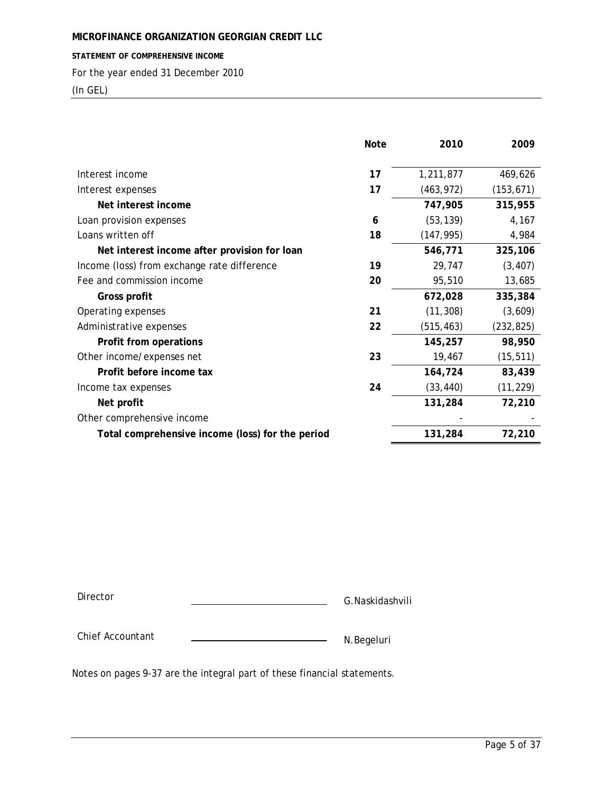**STATEMENT OF COMPREHENSIVE INCOME**

For the year ended 31 December 2010

(In GEL)

|                                                  | <b>Note</b> | 2010       | 2009       |
|--------------------------------------------------|-------------|------------|------------|
| Interest income                                  | 17          | 1,211,877  | 469,626    |
| Interest expenses                                | 17          | (463, 972) | (153, 671) |
| Net interest income                              |             | 747,905    | 315,955    |
| Loan provision expenses                          | 6           | (53, 139)  | 4,167      |
| Loans written off                                | 18          | (147, 995) | 4,984      |
| Net interest income after provision for loan     |             | 546,771    | 325,106    |
| Income (loss) from exchange rate difference      | 19          | 29,747     | (3, 407)   |
| Fee and commission income                        | 20          | 95,510     | 13,685     |
| Gross profit                                     |             | 672,028    | 335,384    |
| Operating expenses                               | 21          | (11, 308)  | (3,609)    |
| Administrative expenses                          | 22          | (515, 463) | (232, 825) |
| Profit from operations                           |             | 145,257    | 98,950     |
| Other income/expenses net                        | 23          | 19,467     | (15, 511)  |
| Profit before income tax                         |             | 164,724    | 83,439     |
| Income tax expenses                              | 24          | (33, 440)  | (11, 229)  |
| Net profit                                       |             | 131,284    | 72,210     |
| Other comprehensive income                       |             |            |            |
| Total comprehensive income (loss) for the period |             | 131,284    | 72,210     |

| Director | G.Naskidashvili |
|----------|-----------------|
|          |                 |
|          |                 |

Notes on pages 9-37 are the integral part of these financial statements.

Chief Accountant N.Begeluri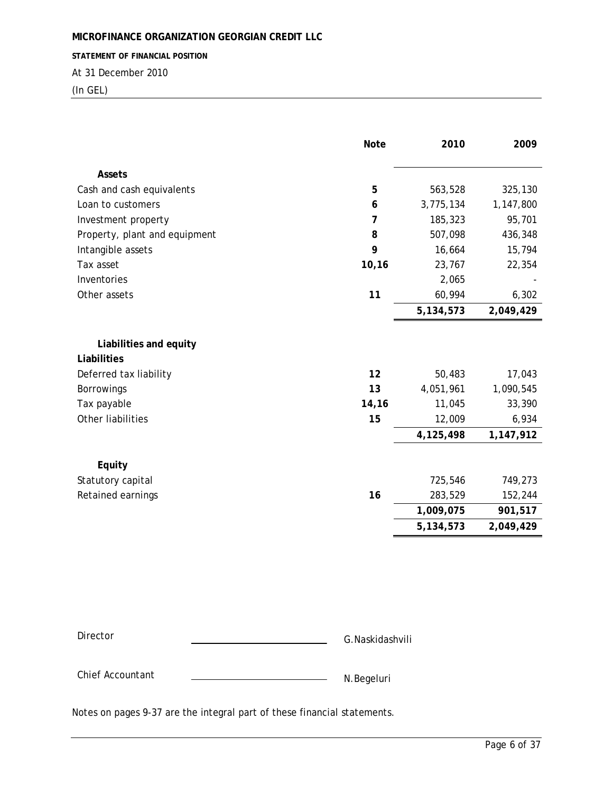**STATEMENT OF FINANCIAL POSITION**

# At 31 December 2010

(In GEL)

|                                       | <b>Note</b> | 2010      | 2009      |
|---------------------------------------|-------------|-----------|-----------|
| Assets                                |             |           |           |
| Cash and cash equivalents             | 5           | 563,528   | 325,130   |
| Loan to customers                     | 6           | 3,775,134 | 1,147,800 |
| Investment property                   | 7           | 185,323   | 95,701    |
| Property, plant and equipment         | 8           | 507,098   | 436,348   |
| Intangible assets                     | 9           | 16,664    | 15,794    |
| Tax asset                             | 10,16       | 23,767    | 22,354    |
| Inventories                           |             | 2,065     |           |
| Other assets                          | 11          | 60,994    | 6,302     |
|                                       |             | 5,134,573 | 2,049,429 |
| Liabilities and equity<br>Liabilities |             |           |           |
| Deferred tax liability                | 12          | 50,483    | 17,043    |
| Borrowings                            | 13          | 4,051,961 | 1,090,545 |
| Tax payable                           | 14,16       | 11,045    | 33,390    |
| Other liabilities                     | 15          | 12,009    | 6,934     |
|                                       |             | 4,125,498 | 1,147,912 |
| Equity                                |             |           |           |
| Statutory capital                     |             | 725,546   | 749,273   |
| Retained earnings                     | 16          | 283,529   | 152,244   |
|                                       |             | 1,009,075 | 901,517   |
|                                       |             | 5,134,573 | 2,049,429 |

| Director         | G.Naskidashvili |
|------------------|-----------------|
| Chief Accountant | N.Begeluri      |

Notes on pages 9-37 are the integral part of these financial statements.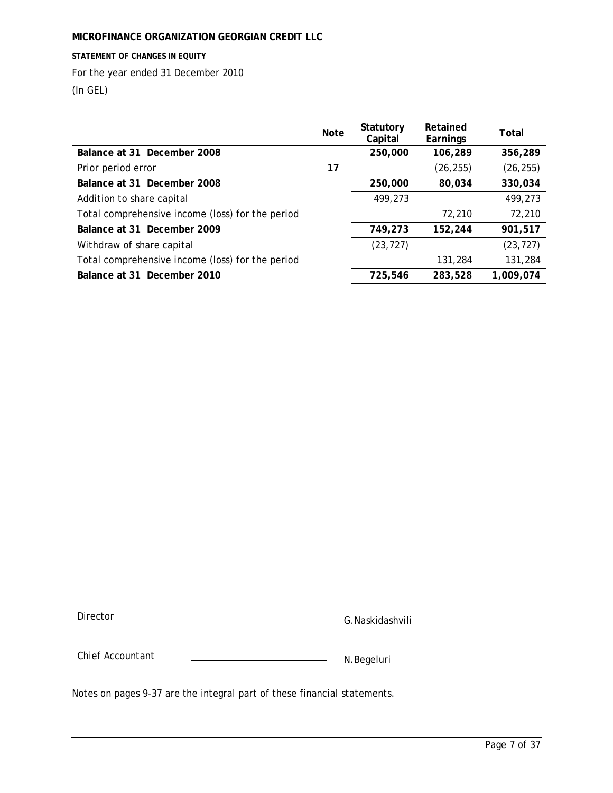**STATEMENT OF CHANGES IN EQUITY**

# For the year ended 31 December 2010

(In GEL)

|                                                  | <b>Note</b> | Statutory<br>Capital | Retained<br>Earnings | Total     |
|--------------------------------------------------|-------------|----------------------|----------------------|-----------|
| Balance at 31 December 2008                      |             | 250,000              | 106,289              | 356,289   |
| Prior period error                               | 17          |                      | (26, 255)            | (26, 255) |
| Balance at 31 December 2008                      |             | 250,000              | 80.034               | 330,034   |
| Addition to share capital                        |             | 499,273              |                      | 499.273   |
| Total comprehensive income (loss) for the period |             |                      | 72,210               | 72,210    |
| Balance at 31 December 2009                      |             | 749,273              | 152,244              | 901,517   |
| Withdraw of share capital                        |             | (23, 727)            |                      | (23, 727) |
| Total comprehensive income (loss) for the period |             |                      | 131,284              | 131,284   |
| Balance at 31 December 2010                      |             | 725,546              | 283,528              | 1,009,074 |

| Director | G.Naskidashvili |
|----------|-----------------|
|----------|-----------------|

Chief Accountant N.Begeluri

Notes on pages 9-37 are the integral part of these financial statements.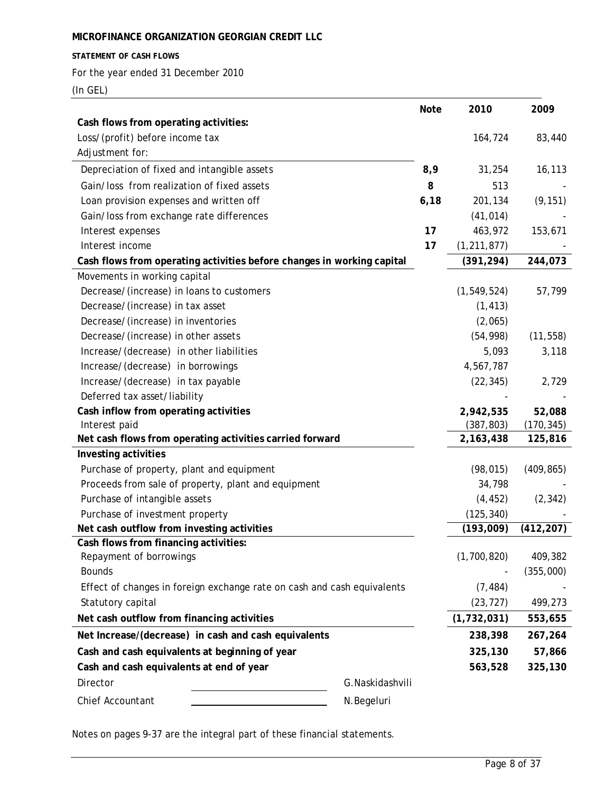**STATEMENT OF CASH FLOWS**

For the year ended 31 December 2010

(In GEL)

|                                                                         | <b>Note</b>     | 2010          | 2009       |
|-------------------------------------------------------------------------|-----------------|---------------|------------|
| Cash flows from operating activities:                                   |                 |               |            |
| Loss/(profit) before income tax                                         |                 | 164,724       | 83,440     |
| Adjustment for:                                                         |                 |               |            |
| Depreciation of fixed and intangible assets                             | 8,9             | 31,254        | 16,113     |
| Gain/loss from realization of fixed assets                              | 8               | 513           |            |
| Loan provision expenses and written off                                 | 6,18            | 201,134       | (9, 151)   |
| Gain/loss from exchange rate differences                                |                 | (41, 014)     |            |
| Interest expenses                                                       | 17              | 463,972       | 153,671    |
| Interest income                                                         | 17              | (1, 211, 877) |            |
| Cash flows from operating activities before changes in working capital  |                 | (391, 294)    | 244,073    |
| Movements in working capital                                            |                 |               |            |
| Decrease/(increase) in loans to customers                               |                 | (1, 549, 524) | 57,799     |
| Decrease/(increase) in tax asset                                        |                 | (1, 413)      |            |
| Decrease/(increase) in inventories                                      |                 | (2,065)       |            |
| Decrease/(increase) in other assets                                     |                 | (54, 998)     | (11, 558)  |
| Increase/(decrease) in other liabilities                                |                 | 5,093         | 3,118      |
| Increase/(decrease) in borrowings                                       |                 | 4,567,787     |            |
| Increase/(decrease) in tax payable                                      |                 | (22, 345)     | 2,729      |
| Deferred tax asset/liability                                            |                 |               |            |
| Cash inflow from operating activities                                   |                 | 2,942,535     | 52,088     |
| Interest paid                                                           |                 | (387, 803)    | (170, 345) |
| Net cash flows from operating activities carried forward                |                 | 2,163,438     | 125,816    |
| Investing activities                                                    |                 |               |            |
| Purchase of property, plant and equipment                               |                 | (98, 015)     | (409, 865) |
| Proceeds from sale of property, plant and equipment                     |                 | 34,798        |            |
| Purchase of intangible assets                                           |                 | (4, 452)      | (2, 342)   |
| Purchase of investment property                                         |                 | (125, 340)    |            |
| Net cash outflow from investing activities                              |                 | (193,009)     | (412, 207) |
| Cash flows from financing activities:                                   |                 |               |            |
| Repayment of borrowings                                                 |                 | (1,700,820)   | 409,382    |
| <b>Bounds</b>                                                           |                 |               | (355,000)  |
| Effect of changes in foreign exchange rate on cash and cash equivalents |                 | (7, 484)      |            |
| Statutory capital                                                       |                 | (23, 727)     | 499,273    |
| Net cash outflow from financing activities                              |                 | (1,732,031)   | 553,655    |
| Net Increase/(decrease) in cash and cash equivalents                    |                 | 238,398       | 267,264    |
| Cash and cash equivalents at beginning of year                          |                 | 325,130       | 57,866     |
| Cash and cash equivalents at end of year                                |                 | 563,528       | 325,130    |
| Director                                                                | G.Naskidashvili |               |            |
| Chief Accountant                                                        | N.Begeluri      |               |            |

Notes on pages 9-37 are the integral part of these financial statements.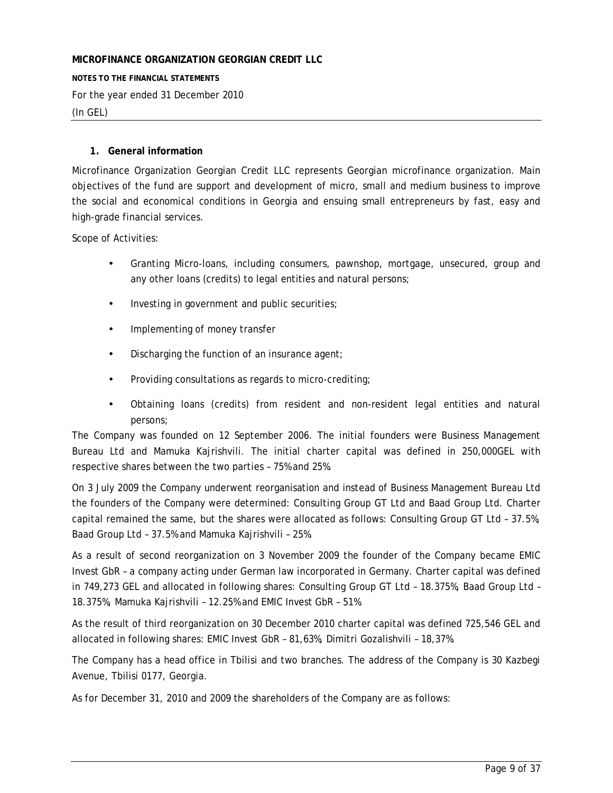**NOTES TO THE FINANCIAL STATEMENTS** For the year ended 31 December 2010 (In GEL)

# **1. General information**

Microfinance Organization Georgian Credit LLC represents Georgian microfinance organization. Main objectives of the fund are support and development of micro, small and medium business to improve the social and economical conditions in Georgia and ensuing small entrepreneurs by fast, easy and high-grade financial services.

Scope of Activities:

- Granting Micro-loans, including consumers, pawnshop, mortgage, unsecured, group and any other loans (credits) to legal entities and natural persons;
- Investing in government and public securities;
- Implementing of money transfer
- Discharging the function of an insurance agent;
- Providing consultations as regards to micro-crediting;
- Obtaining loans (credits) from resident and non-resident legal entities and natural persons;

The Company was founded on 12 September 2006. The initial founders were Business Management Bureau Ltd and Mamuka Kajrishvili. The initial charter capital was defined in 250,000GEL with respective shares between the two parties – 75% and 25%.

On 3 July 2009 the Company underwent reorganisation and instead of Business Management Bureau Ltd the founders of the Company were determined: Consulting Group GT Ltd and Baad Group Ltd. Charter capital remained the same, but the shares were allocated as follows: Consulting Group GT Ltd – 37.5%, Baad Group Ltd – 37.5% and Mamuka Kajrishvili – 25%.

As a result of second reorganization on 3 November 2009 the founder of the Company became EMIC Invest GbR – a company acting under German law incorporated in Germany. Charter capital was defined in 749,273 GEL and allocated in following shares: Consulting Group GT Ltd – 18.375%, Baad Group Ltd – 18.375%, Mamuka Kajrishvili – 12.25% and EMIC Invest GbR – 51%.

As the result of third reorganization on 30 December 2010 charter capital was defined 725,546 GEL and allocated in following shares: EMIC Invest GbR – 81,63%, Dimitri Gozalishvili – 18,37%.

The Company has a head office in Tbilisi and two branches. The address of the Company is 30 Kazbegi Avenue, Tbilisi 0177, Georgia.

As for December 31, 2010 and 2009 the shareholders of the Company are as follows: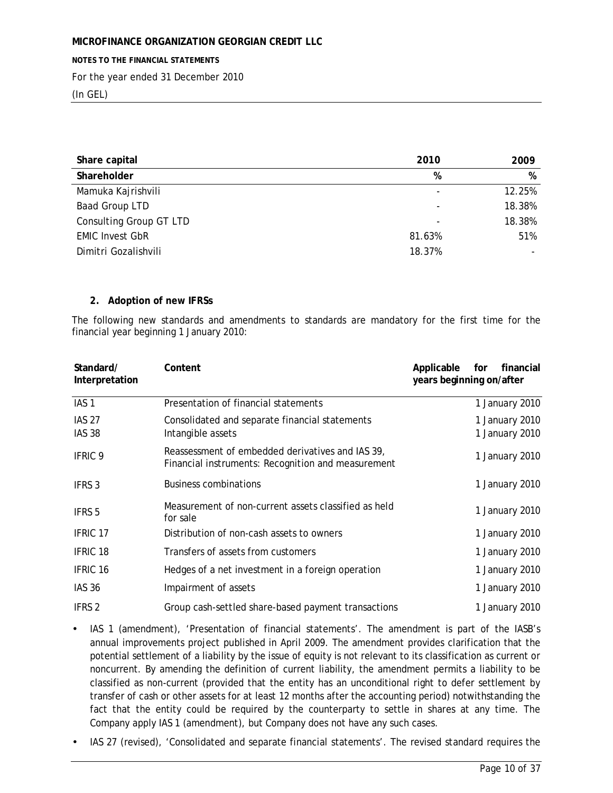**NOTES TO THE FINANCIAL STATEMENTS**

For the year ended 31 December 2010

(In GEL)

| Share capital           | 2010   | 2009   |
|-------------------------|--------|--------|
| Shareholder             | %      | %      |
| Mamuka Kajrishvili      |        | 12.25% |
| Baad Group LTD          |        | 18.38% |
| Consulting Group GT LTD |        | 18.38% |
| <b>EMIC Invest GbR</b>  | 81.63% | 51%    |
| Dimitri Gozalishvili    | 18.37% |        |

# **2. Adoption of new IFRSs**

The following new standards and amendments to standards are mandatory for the first time for the financial year beginning 1 January 2010:

| Standard/<br>Interpretation    | Content                                                                                                | Applicable<br>for<br>financial<br>years beginning on/after |
|--------------------------------|--------------------------------------------------------------------------------------------------------|------------------------------------------------------------|
| IAS <sub>1</sub>               | Presentation of financial statements                                                                   | 1 January 2010                                             |
| <b>IAS 27</b><br><b>IAS 38</b> | Consolidated and separate financial statements<br>Intangible assets                                    | 1 January 2010<br>1 January 2010                           |
| <b>IFRIC 9</b>                 | Reassessment of embedded derivatives and IAS 39,<br>Financial instruments: Recognition and measurement | 1 January 2010                                             |
| IFRS 3                         | <b>Business combinations</b>                                                                           | 1 January 2010                                             |
| IFRS 5                         | Measurement of non-current assets classified as held<br>for sale                                       | 1 January 2010                                             |
| <b>IFRIC 17</b>                | Distribution of non-cash assets to owners                                                              | 1 January 2010                                             |
| <b>IFRIC 18</b>                | Transfers of assets from customers                                                                     | 1 January 2010                                             |
| <b>IFRIC 16</b>                | Hedges of a net investment in a foreign operation                                                      | 1 January 2010                                             |
| <b>IAS 36</b>                  | Impairment of assets                                                                                   | 1 January 2010                                             |
| IFRS <sub>2</sub>              | Group cash-settled share-based payment transactions                                                    | 1 January 2010                                             |

- IAS 1 (amendment), 'Presentation of financial statements'. The amendment is part of the IASB's annual improvements project published in April 2009. The amendment provides clarification that the potential settlement of a liability by the issue of equity is not relevant to its classification as current or noncurrent. By amending the definition of current liability, the amendment permits a liability to be classified as non-current (provided that the entity has an unconditional right to defer settlement by transfer of cash or other assets for at least 12 months after the accounting period) notwithstanding the fact that the entity could be required by the counterparty to settle in shares at any time. The Company apply IAS 1 (amendment), but Company does not have any such cases.
- IAS 27 (revised), 'Consolidated and separate financial statements'. The revised standard requires the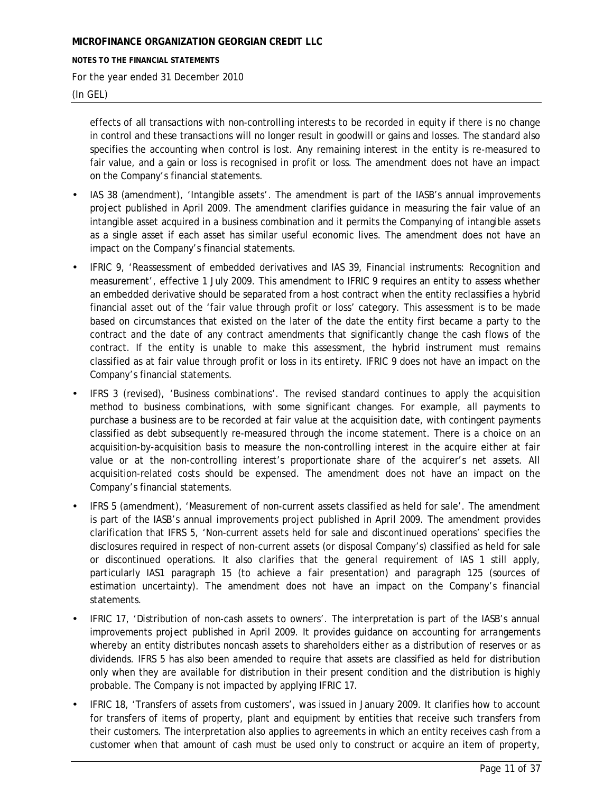**NOTES TO THE FINANCIAL STATEMENTS**

For the year ended 31 December 2010

#### (In GEL)

effects of all transactions with non-controlling interests to be recorded in equity if there is no change in control and these transactions will no longer result in goodwill or gains and losses. The standard also specifies the accounting when control is lost. Any remaining interest in the entity is re-measured to fair value, and a gain or loss is recognised in profit or loss. The amendment does not have an impact on the Company's financial statements.

- IAS 38 (amendment), 'Intangible assets'. The amendment is part of the IASB's annual improvements project published in April 2009. The amendment clarifies guidance in measuring the fair value of an intangible asset acquired in a business combination and it permits the Companying of intangible assets as a single asset if each asset has similar useful economic lives. The amendment does not have an impact on the Company's financial statements.
- IFRIC 9, 'Reassessment of embedded derivatives and IAS 39, Financial instruments: Recognition and measurement', effective 1 July 2009. This amendment to IFRIC 9 requires an entity to assess whether an embedded derivative should be separated from a host contract when the entity reclassifies a hybrid financial asset out of the 'fair value through profit or loss' category. This assessment is to be made based on circumstances that existed on the later of the date the entity first became a party to the contract and the date of any contract amendments that significantly change the cash flows of the contract. If the entity is unable to make this assessment, the hybrid instrument must remains classified as at fair value through profit or loss in its entirety. IFRIC 9 does not have an impact on the Company's financial statements.
- IFRS 3 (revised), 'Business combinations'. The revised standard continues to apply the acquisition method to business combinations, with some significant changes. For example, all payments to purchase a business are to be recorded at fair value at the acquisition date, with contingent payments classified as debt subsequently re-measured through the income statement. There is a choice on an acquisition-by-acquisition basis to measure the non-controlling interest in the acquire either at fair value or at the non-controlling interest's proportionate share of the acquirer's net assets. All acquisition-related costs should be expensed. The amendment does not have an impact on the Company's financial statements.
- IFRS 5 (amendment), 'Measurement of non-current assets classified as held for sale'. The amendment is part of the IASB's annual improvements project published in April 2009. The amendment provides clarification that IFRS 5, 'Non-current assets held for sale and discontinued operations' specifies the disclosures required in respect of non-current assets (or disposal Company's) classified as held for sale or discontinued operations. It also clarifies that the general requirement of IAS 1 still apply, particularly IAS1 paragraph 15 (to achieve a fair presentation) and paragraph 125 (sources of estimation uncertainty). The amendment does not have an impact on the Company's financial statements.
- IFRIC 17, 'Distribution of non-cash assets to owners'. The interpretation is part of the IASB's annual improvements project published in April 2009. It provides guidance on accounting for arrangements whereby an entity distributes noncash assets to shareholders either as a distribution of reserves or as dividends. IFRS 5 has also been amended to require that assets are classified as held for distribution only when they are available for distribution in their present condition and the distribution is highly probable. The Company is not impacted by applying IFRIC 17.
- IFRIC 18, 'Transfers of assets from customers', was issued in January 2009. It clarifies how to account for transfers of items of property, plant and equipment by entities that receive such transfers from their customers. The interpretation also applies to agreements in which an entity receives cash from a customer when that amount of cash must be used only to construct or acquire an item of property,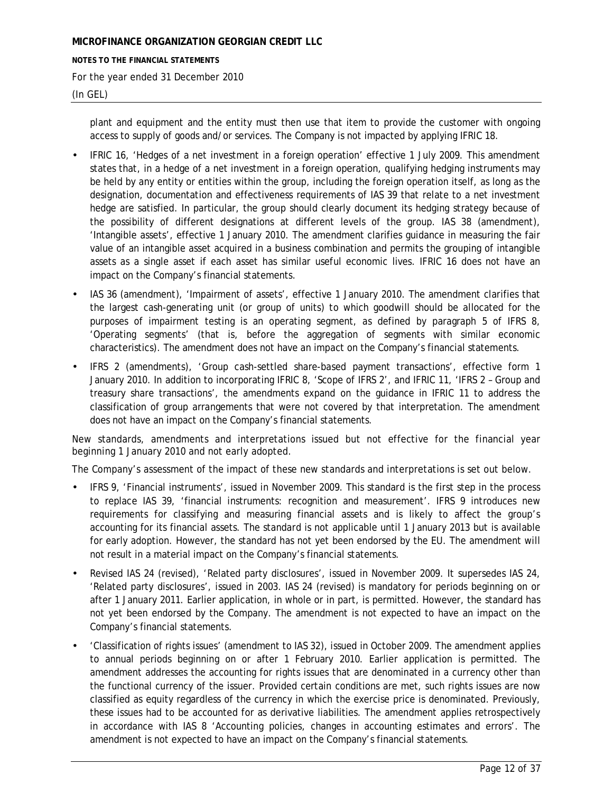**NOTES TO THE FINANCIAL STATEMENTS**

For the year ended 31 December 2010

#### (In GEL)

plant and equipment and the entity must then use that item to provide the customer with ongoing access to supply of goods and/or services. The Company is not impacted by applying IFRIC 18.

- IFRIC 16, 'Hedges of a net investment in a foreign operation' effective 1 July 2009. This amendment states that, in a hedge of a net investment in a foreign operation, qualifying hedging instruments may be held by any entity or entities within the group, including the foreign operation itself, as long as the designation, documentation and effectiveness requirements of IAS 39 that relate to a net investment hedge are satisfied. In particular, the group should clearly document its hedging strategy because of the possibility of different designations at different levels of the group. IAS 38 (amendment), 'Intangible assets', effective 1 January 2010. The amendment clarifies guidance in measuring the fair value of an intangible asset acquired in a business combination and permits the grouping of intangible assets as a single asset if each asset has similar useful economic lives. IFRIC 16 does not have an impact on the Company's financial statements.
- IAS 36 (amendment), 'Impairment of assets', effective 1 January 2010. The amendment clarifies that the largest cash-generating unit (or group of units) to which goodwill should be allocated for the purposes of impairment testing is an operating segment, as defined by paragraph 5 of IFRS 8, 'Operating segments' (that is, before the aggregation of segments with similar economic characteristics). The amendment does not have an impact on the Company's financial statements.
- IFRS 2 (amendments), 'Group cash-settled share-based payment transactions', effective form 1 January 2010. In addition to incorporating IFRIC 8, 'Scope of IFRS 2', and IFRIC 11, 'IFRS 2 - Group and treasury share transactions', the amendments expand on the guidance in IFRIC 11 to address the classification of group arrangements that were not covered by that interpretation. The amendment does not have an impact on the Company's financial statements.

New standards, amendments and interpretations issued but not effective for the financial year beginning 1 January 2010 and not early adopted.

The Company's assessment of the impact of these new standards and interpretations is set out below.

- IFRS 9, 'Financial instruments', issued in November 2009. This standard is the first step in the process to replace IAS 39, 'financial instruments: recognition and measurement'. IFRS 9 introduces new requirements for classifying and measuring financial assets and is likely to affect the group's accounting for its financial assets. The standard is not applicable until 1 January 2013 but is available for early adoption. However, the standard has not yet been endorsed by the EU. The amendment will not result in a material impact on the Company's financial statements.
- Revised IAS 24 (revised), 'Related party disclosures', issued in November 2009. It supersedes IAS 24, 'Related party disclosures', issued in 2003. IAS 24 (revised) is mandatory for periods beginning on or after 1 January 2011. Earlier application, in whole or in part, is permitted. However, the standard has not yet been endorsed by the Company. The amendment is not expected to have an impact on the Company's financial statements.
- 'Classification of rights issues' (amendment to IAS 32), issued in October 2009. The amendment applies to annual periods beginning on or after 1 February 2010. Earlier application is permitted. The amendment addresses the accounting for rights issues that are denominated in a currency other than the functional currency of the issuer. Provided certain conditions are met, such rights issues are now classified as equity regardless of the currency in which the exercise price is denominated. Previously, these issues had to be accounted for as derivative liabilities. The amendment applies retrospectively in accordance with IAS 8 'Accounting policies, changes in accounting estimates and errors'. The amendment is not expected to have an impact on the Company's financial statements.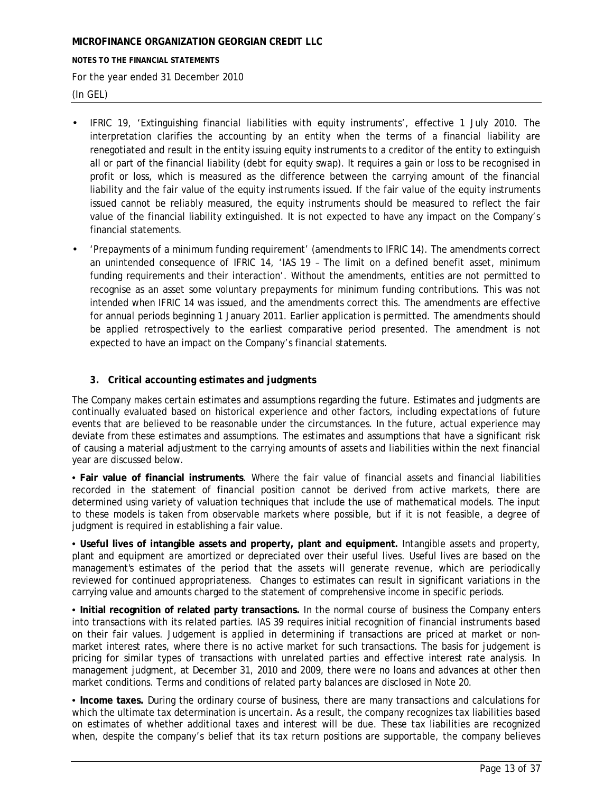#### **NOTES TO THE FINANCIAL STATEMENTS**

For the year ended 31 December 2010

(In GEL)

- IFRIC 19, 'Extinguishing financial liabilities with equity instruments', effective 1 July 2010. The interpretation clarifies the accounting by an entity when the terms of a financial liability are renegotiated and result in the entity issuing equity instruments to a creditor of the entity to extinguish all or part of the financial liability (debt for equity swap). It requires a gain or loss to be recognised in profit or loss, which is measured as the difference between the carrying amount of the financial liability and the fair value of the equity instruments issued. If the fair value of the equity instruments issued cannot be reliably measured, the equity instruments should be measured to reflect the fair value of the financial liability extinguished. It is not expected to have any impact on the Company's financial statements.
- 'Prepayments of a minimum funding requirement' (amendments to IFRIC 14). The amendments correct an unintended consequence of IFRIC 14, 'IAS 19 – The limit on a defined benefit asset, minimum funding requirements and their interaction'. Without the amendments, entities are not permitted to recognise as an asset some voluntary prepayments for minimum funding contributions. This was not intended when IFRIC 14 was issued, and the amendments correct this. The amendments are effective for annual periods beginning 1 January 2011. Earlier application is permitted. The amendments should be applied retrospectively to the earliest comparative period presented. The amendment is not expected to have an impact on the Company's financial statements.

# **3. Critical accounting estimates and judgments**

The Company makes certain estimates and assumptions regarding the future. Estimates and judgments are continually evaluated based on historical experience and other factors, including expectations of future events that are believed to be reasonable under the circumstances. In the future, actual experience may deviate from these estimates and assumptions. The estimates and assumptions that have a significant risk of causing a material adjustment to the carrying amounts of assets and liabilities within the next financial year are discussed below.

• **Fair value of financial instruments**. Where the fair value of financial assets and financial liabilities recorded in the statement of financial position cannot be derived from active markets, there are determined using variety of valuation techniques that include the use of mathematical models. The input to these models is taken from observable markets where possible, but if it is not feasible, a degree of judgment is required in establishing a fair value.

• **Useful lives of intangible assets and property, plant and equipment.** Intangible assets and property, plant and equipment are amortized or depreciated over their useful lives. Useful lives are based on the management's estimates of the period that the assets will generate revenue, which are periodically reviewed for continued appropriateness. Changes to estimates can result in significant variations in the carrying value and amounts charged to the statement of comprehensive income in specific periods.

• **Initial recognition of related party transactions.** In the normal course of business the Company enters into transactions with its related parties. IAS 39 requires initial recognition of financial instruments based on their fair values. Judgement is applied in determining if transactions are priced at market or nonmarket interest rates, where there is no active market for such transactions. The basis for judgement is pricing for similar types of transactions with unrelated parties and effective interest rate analysis. In management judgment, at December 31, 2010 and 2009, there were no loans and advances at other then market conditions. Terms and conditions of related party balances are disclosed in Note 20.

• **Income taxes.** During the ordinary course of business, there are many transactions and calculations for which the ultimate tax determination is uncertain. As a result, the company recognizes tax liabilities based on estimates of whether additional taxes and interest will be due. These tax liabilities are recognized when, despite the company's belief that its tax return positions are supportable, the company believes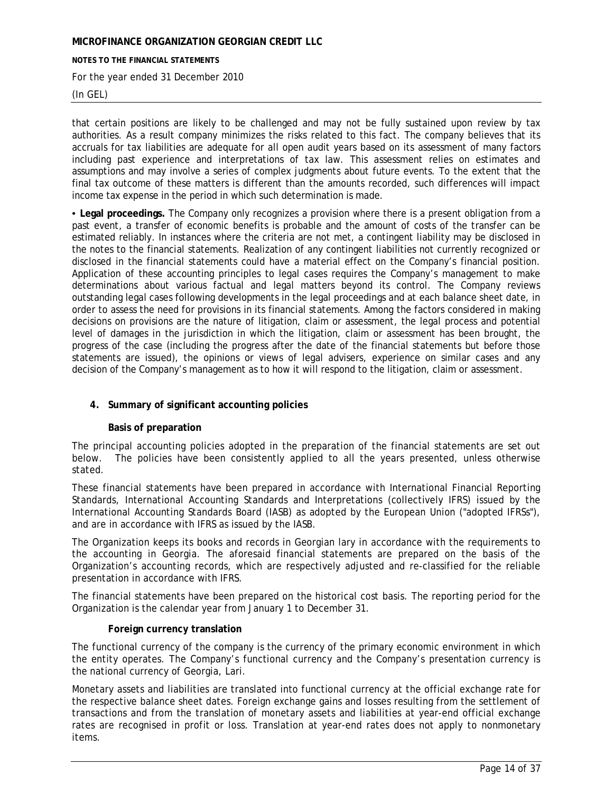**NOTES TO THE FINANCIAL STATEMENTS**

For the year ended 31 December 2010

#### (In GEL)

that certain positions are likely to be challenged and may not be fully sustained upon review by tax authorities. As a result company minimizes the risks related to this fact. The company believes that its accruals for tax liabilities are adequate for all open audit years based on its assessment of many factors including past experience and interpretations of tax law. This assessment relies on estimates and assumptions and may involve a series of complex judgments about future events. To the extent that the final tax outcome of these matters is different than the amounts recorded, such differences will impact income tax expense in the period in which such determination is made.

• **Legal proceedings.** The Company only recognizes a provision where there is a present obligation from a past event, a transfer of economic benefits is probable and the amount of costs of the transfer can be estimated reliably. In instances where the criteria are not met, a contingent liability may be disclosed in the notes to the financial statements. Realization of any contingent liabilities not currently recognized or disclosed in the financial statements could have a material effect on the Company's financial position. Application of these accounting principles to legal cases requires the Company's management to make determinations about various factual and legal matters beyond its control. The Company reviews outstanding legal cases following developments in the legal proceedings and at each balance sheet date, in order to assess the need for provisions in its financial statements. Among the factors considered in making decisions on provisions are the nature of litigation, claim or assessment, the legal process and potential level of damages in the jurisdiction in which the litigation, claim or assessment has been brought, the progress of the case (including the progress after the date of the financial statements but before those statements are issued), the opinions or views of legal advisers, experience on similar cases and any decision of the Company's management as to how it will respond to the litigation, claim or assessment.

# **4. Summary of significant accounting policies**

# **Basis of preparation**

The principal accounting policies adopted in the preparation of the financial statements are set out below. The policies have been consistently applied to all the years presented, unless otherwise stated.

These financial statements have been prepared in accordance with International Financial Reporting Standards, International Accounting Standards and Interpretations (collectively IFRS) issued by the International Accounting Standards Board (IASB) as adopted by the European Union ("adopted IFRSs"), and are in accordance with IFRS as issued by the IASB.

The Organization keeps its books and records in Georgian lary in accordance with the requirements to the accounting in Georgia. The aforesaid financial statements are prepared on the basis of the Organization's accounting records, which are respectively adjusted and re-classified for the reliable presentation in accordance with IFRS.

The financial statements have been prepared on the historical cost basis. The reporting period for the Organization is the calendar year from January 1 to December 31.

# **Foreign currency translation**

The functional currency of the company is the currency of the primary economic environment in which the entity operates. The Company's functional currency and the Company's presentation currency is the national currency of Georgia, Lari.

Monetary assets and liabilities are translated into functional currency at the official exchange rate for the respective balance sheet dates. Foreign exchange gains and losses resulting from the settlement of transactions and from the translation of monetary assets and liabilities at year-end official exchange rates are recognised in profit or loss. Translation at year-end rates does not apply to nonmonetary items.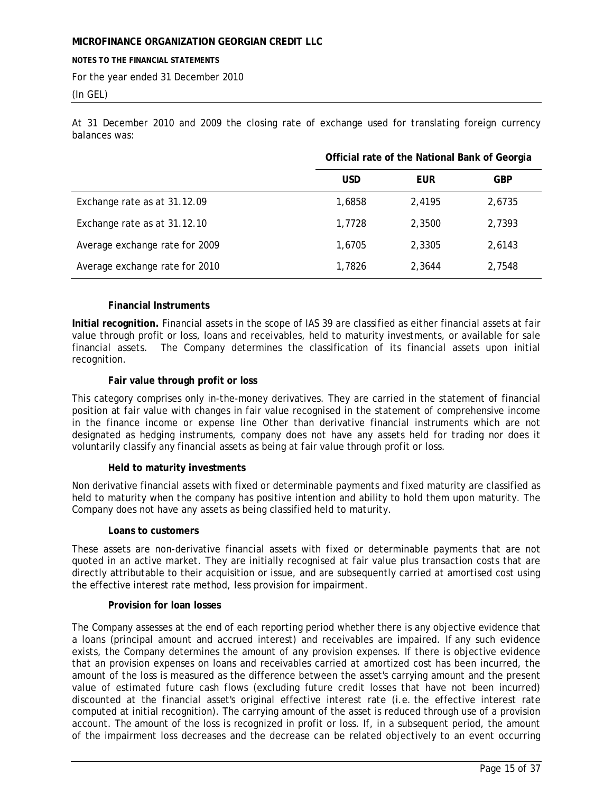#### **NOTES TO THE FINANCIAL STATEMENTS**

For the year ended 31 December 2010

#### (In GEL)

At 31 December 2010 and 2009 the closing rate of exchange used for translating foreign currency balances was:

**Official rate of the National Bank of Georgia** 

|                                |            |        | ~          |
|--------------------------------|------------|--------|------------|
|                                | <b>USD</b> | EUR    | <b>GBP</b> |
| Exchange rate as at 31.12.09   | 1,6858     | 2,4195 | 2,6735     |
| Exchange rate as at 31.12.10   | 1,7728     | 2,3500 | 2,7393     |
| Average exchange rate for 2009 | 1,6705     | 2,3305 | 2,6143     |
| Average exchange rate for 2010 | 1,7826     | 2,3644 | 2,7548     |

# **Financial Instruments**

**Initial recognition.** Financial assets in the scope of IAS 39 are classified as either financial assets at fair value through profit or loss, loans and receivables, held to maturity investments, or available for sale financial assets. The Company determines the classification of its financial assets upon initial recognition.

### **Fair value through profit or loss**

This category comprises only in-the-money derivatives. They are carried in the statement of financial position at fair value with changes in fair value recognised in the statement of comprehensive income in the finance income or expense line Other than derivative financial instruments which are not designated as hedging instruments, company does not have any assets held for trading nor does it voluntarily classify any financial assets as being at fair value through profit or loss.

#### **Held to maturity investments**

Non derivative financial assets with fixed or determinable payments and fixed maturity are classified as held to maturity when the company has positive intention and ability to hold them upon maturity. The Company does not have any assets as being classified held to maturity.

#### **Loans to customers**

These assets are non-derivative financial assets with fixed or determinable payments that are not quoted in an active market. They are initially recognised at fair value plus transaction costs that are directly attributable to their acquisition or issue, and are subsequently carried at amortised cost using the effective interest rate method, less provision for impairment.

#### **Provision for loan losses**

The Company assesses at the end of each reporting period whether there is any objective evidence that a loans (principal amount and accrued interest) and receivables are impaired. If any such evidence exists, the Company determines the amount of any provision expenses. If there is objective evidence that an provision expenses on loans and receivables carried at amortized cost has been incurred, the amount of the loss is measured as the difference between the asset's carrying amount and the present value of estimated future cash flows (excluding future credit losses that have not been incurred) discounted at the financial asset's original effective interest rate (i.e. the effective interest rate computed at initial recognition). The carrying amount of the asset is reduced through use of a provision account. The amount of the loss is recognized in profit or loss. If, in a subsequent period, the amount of the impairment loss decreases and the decrease can be related objectively to an event occurring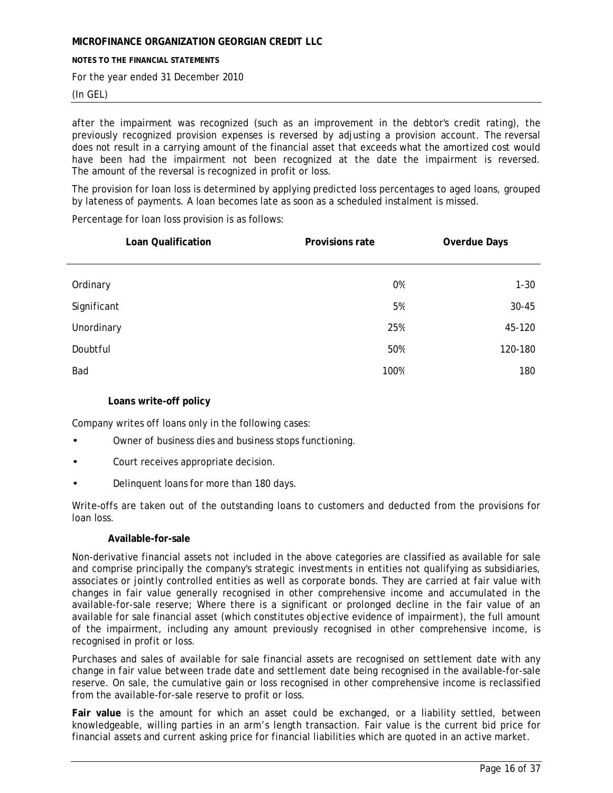#### **NOTES TO THE FINANCIAL STATEMENTS**

For the year ended 31 December 2010

(In GEL)

after the impairment was recognized (such as an improvement in the debtor's credit rating), the previously recognized provision expenses is reversed by adjusting a provision account. The reversal does not result in a carrying amount of the financial asset that exceeds what the amortized cost would have been had the impairment not been recognized at the date the impairment is reversed. The amount of the reversal is recognized in profit or loss.

The provision for loan loss is determined by applying predicted loss percentages to aged loans, grouped by lateness of payments. A loan becomes late as soon as a scheduled instalment is missed.

Percentage for loan loss provision is as follows:

| Loan Qualification | Provisions rate | <b>Overdue Days</b> |  |
|--------------------|-----------------|---------------------|--|
|                    |                 |                     |  |
| Ordinary           | 0%              | $1 - 30$            |  |
| Significant        | 5%              | $30 - 45$           |  |
| Unordinary         | 25%             | 45-120              |  |
| Doubtful           | 50%             | 120-180             |  |
| Bad                | 100%            | 180                 |  |

#### **Loans write-off policy**

Company writes off loans only in the following cases:

- Owner of business dies and business stops functioning.
- Court receives appropriate decision.
- Delinquent loans for more than 180 days.

Write-offs are taken out of the outstanding loans to customers and deducted from the provisions for loan loss.

#### **Available-for-sale**

Non-derivative financial assets not included in the above categories are classified as available for sale and comprise principally the company's strategic investments in entities not qualifying as subsidiaries, associates or jointly controlled entities as well as corporate bonds. They are carried at fair value with changes in fair value generally recognised in other comprehensive income and accumulated in the available-for-sale reserve; Where there is a significant or prolonged decline in the fair value of an available for sale financial asset (which constitutes objective evidence of impairment), the full amount of the impairment, including any amount previously recognised in other comprehensive income, is recognised in profit or loss.

Purchases and sales of available for sale financial assets are recognised on settlement date with any change in fair value between trade date and settlement date being recognised in the available-for-sale reserve. On sale, the cumulative gain or loss recognised in other comprehensive income is reclassified from the available-for-sale reserve to profit or loss.

**Fair value** is the amount for which an asset could be exchanged, or a liability settled, between knowledgeable, willing parties in an arm's length transaction. Fair value is the current bid price for financial assets and current asking price for financial liabilities which are quoted in an active market.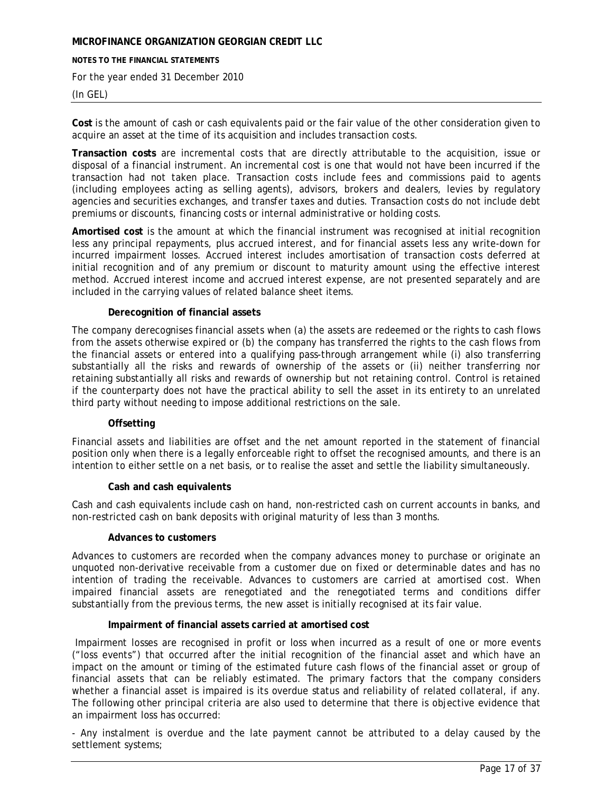**NOTES TO THE FINANCIAL STATEMENTS**

For the year ended 31 December 2010

### (In GEL)

**Cost** is the amount of cash or cash equivalents paid or the fair value of the other consideration given to acquire an asset at the time of its acquisition and includes transaction costs.

**Transaction costs** are incremental costs that are directly attributable to the acquisition, issue or disposal of a financial instrument. An incremental cost is one that would not have been incurred if the transaction had not taken place. Transaction costs include fees and commissions paid to agents (including employees acting as selling agents), advisors, brokers and dealers, levies by regulatory agencies and securities exchanges, and transfer taxes and duties. Transaction costs do not include debt premiums or discounts, financing costs or internal administrative or holding costs.

**Amortised cost** is the amount at which the financial instrument was recognised at initial recognition less any principal repayments, plus accrued interest, and for financial assets less any write-down for incurred impairment losses. Accrued interest includes amortisation of transaction costs deferred at initial recognition and of any premium or discount to maturity amount using the effective interest method. Accrued interest income and accrued interest expense, are not presented separately and are included in the carrying values of related balance sheet items.

### **Derecognition of financial assets**

The company derecognises financial assets when (a) the assets are redeemed or the rights to cash flows from the assets otherwise expired or (b) the company has transferred the rights to the cash flows from the financial assets or entered into a qualifying pass-through arrangement while (i) also transferring substantially all the risks and rewards of ownership of the assets or (ii) neither transferring nor retaining substantially all risks and rewards of ownership but not retaining control. Control is retained if the counterparty does not have the practical ability to sell the asset in its entirety to an unrelated third party without needing to impose additional restrictions on the sale.

# **Offsetting**

Financial assets and liabilities are offset and the net amount reported in the statement of financial position only when there is a legally enforceable right to offset the recognised amounts, and there is an intention to either settle on a net basis, or to realise the asset and settle the liability simultaneously.

#### **Cash and cash equivalents**

Cash and cash equivalents include cash on hand, non-restricted cash on current accounts in banks, and non-restricted cash on bank deposits with original maturity of less than 3 months.

#### **Advances to customers**

Advances to customers are recorded when the company advances money to purchase or originate an unquoted non-derivative receivable from a customer due on fixed or determinable dates and has no intention of trading the receivable. Advances to customers are carried at amortised cost. When impaired financial assets are renegotiated and the renegotiated terms and conditions differ substantially from the previous terms, the new asset is initially recognised at its fair value.

# **Impairment of financial assets carried at amortised cost**

 Impairment losses are recognised in profit or loss when incurred as a result of one or more events ("loss events") that occurred after the initial recognition of the financial asset and which have an impact on the amount or timing of the estimated future cash flows of the financial asset or group of financial assets that can be reliably estimated. The primary factors that the company considers whether a financial asset is impaired is its overdue status and reliability of related collateral, if any. The following other principal criteria are also used to determine that there is objective evidence that an impairment loss has occurred:

- Any instalment is overdue and the late payment cannot be attributed to a delay caused by the settlement systems;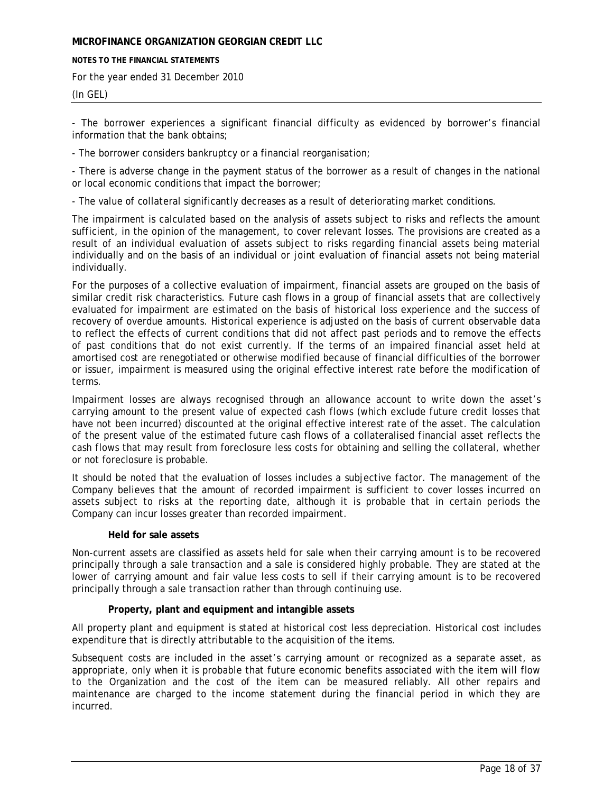**NOTES TO THE FINANCIAL STATEMENTS**

For the year ended 31 December 2010

#### (In GEL)

- The borrower experiences a significant financial difficulty as evidenced by borrower's financial information that the bank obtains;

- The borrower considers bankruptcy or a financial reorganisation;

- There is adverse change in the payment status of the borrower as a result of changes in the national or local economic conditions that impact the borrower;

- The value of collateral significantly decreases as a result of deteriorating market conditions.

The impairment is calculated based on the analysis of assets subject to risks and reflects the amount sufficient, in the opinion of the management, to cover relevant losses. The provisions are created as a result of an individual evaluation of assets subject to risks regarding financial assets being material individually and on the basis of an individual or joint evaluation of financial assets not being material individually.

For the purposes of a collective evaluation of impairment, financial assets are grouped on the basis of similar credit risk characteristics. Future cash flows in a group of financial assets that are collectively evaluated for impairment are estimated on the basis of historical loss experience and the success of recovery of overdue amounts. Historical experience is adjusted on the basis of current observable data to reflect the effects of current conditions that did not affect past periods and to remove the effects of past conditions that do not exist currently. If the terms of an impaired financial asset held at amortised cost are renegotiated or otherwise modified because of financial difficulties of the borrower or issuer, impairment is measured using the original effective interest rate before the modification of terms.

Impairment losses are always recognised through an allowance account to write down the asset's carrying amount to the present value of expected cash flows (which exclude future credit losses that have not been incurred) discounted at the original effective interest rate of the asset. The calculation of the present value of the estimated future cash flows of a collateralised financial asset reflects the cash flows that may result from foreclosure less costs for obtaining and selling the collateral, whether or not foreclosure is probable.

It should be noted that the evaluation of losses includes a subjective factor. The management of the Company believes that the amount of recorded impairment is sufficient to cover losses incurred on assets subject to risks at the reporting date, although it is probable that in certain periods the Company can incur losses greater than recorded impairment.

## **Held for sale assets**

Non-current assets are classified as assets held for sale when their carrying amount is to be recovered principally through a sale transaction and a sale is considered highly probable. They are stated at the lower of carrying amount and fair value less costs to sell if their carrying amount is to be recovered principally through a sale transaction rather than through continuing use.

#### **Property, plant and equipment and intangible assets**

All property plant and equipment is stated at historical cost less depreciation. Historical cost includes expenditure that is directly attributable to the acquisition of the items.

Subsequent costs are included in the asset's carrying amount or recognized as a separate asset, as appropriate, only when it is probable that future economic benefits associated with the item will flow to the Organization and the cost of the item can be measured reliably. All other repairs and maintenance are charged to the income statement during the financial period in which they are incurred.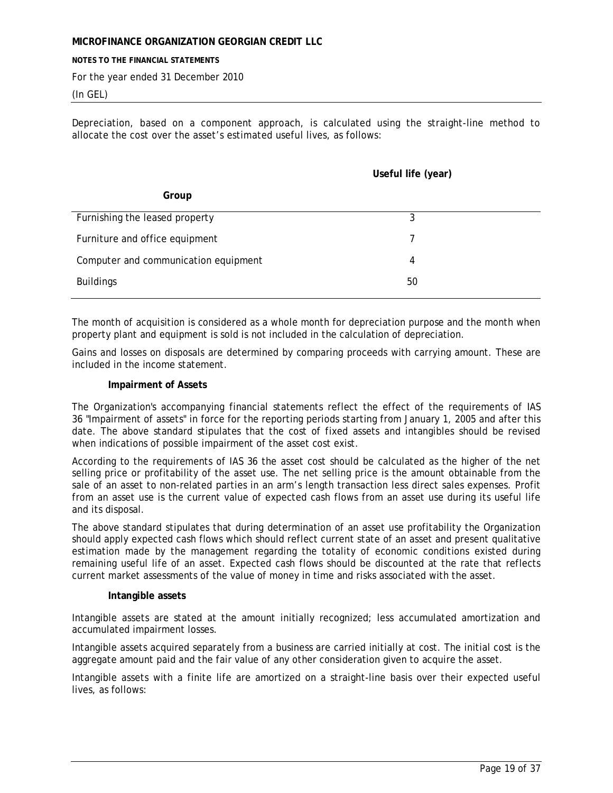#### **NOTES TO THE FINANCIAL STATEMENTS**

For the year ended 31 December 2010

#### (In GEL)

Depreciation, based on a component approach, is calculated using the straight-line method to allocate the cost over the asset's estimated useful lives, as follows:

### **Useful life (year)**

| Group                                |    |
|--------------------------------------|----|
| Furnishing the leased property       |    |
| Furniture and office equipment       |    |
| Computer and communication equipment | 4  |
| <b>Buildings</b>                     | 50 |

The month of acquisition is considered as a whole month for depreciation purpose and the month when property plant and equipment is sold is not included in the calculation of depreciation.

Gains and losses on disposals are determined by comparing proceeds with carrying amount. These are included in the income statement.

#### **Impairment of Assets**

The Organization's accompanying financial statements reflect the effect of the requirements of IAS 36 "Impairment of assets" in force for the reporting periods starting from January 1, 2005 and after this date. The above standard stipulates that the cost of fixed assets and intangibles should be revised when indications of possible impairment of the asset cost exist.

According to the requirements of IAS 36 the asset cost should be calculated as the higher of the net selling price or profitability of the asset use. The net selling price is the amount obtainable from the sale of an asset to non-related parties in an arm's length transaction less direct sales expenses. Profit from an asset use is the current value of expected cash flows from an asset use during its useful life and its disposal.

The above standard stipulates that during determination of an asset use profitability the Organization should apply expected cash flows which should reflect current state of an asset and present qualitative estimation made by the management regarding the totality of economic conditions existed during remaining useful life of an asset. Expected cash flows should be discounted at the rate that reflects current market assessments of the value of money in time and risks associated with the asset.

#### **Intangible assets**

Intangible assets are stated at the amount initially recognized; less accumulated amortization and accumulated impairment losses.

Intangible assets acquired separately from a business are carried initially at cost. The initial cost is the aggregate amount paid and the fair value of any other consideration given to acquire the asset.

Intangible assets with a finite life are amortized on a straight-line basis over their expected useful lives, as follows: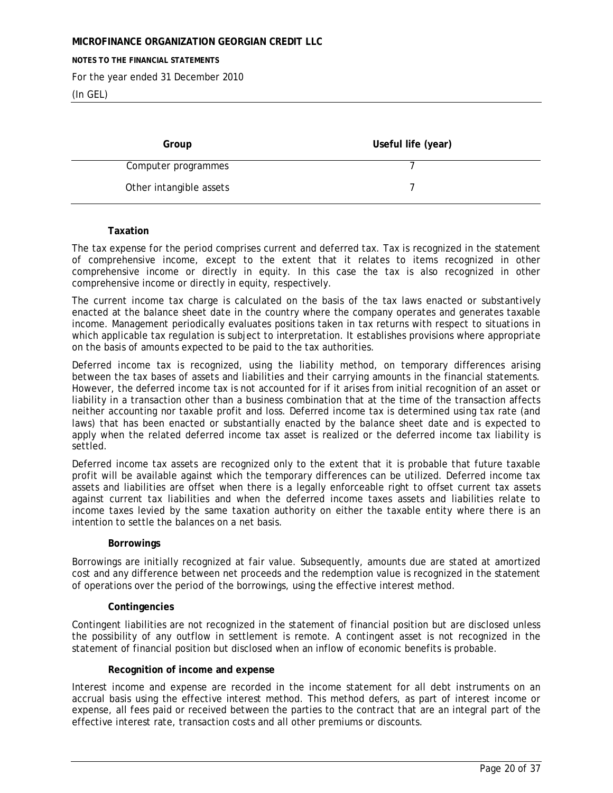**NOTES TO THE FINANCIAL STATEMENTS**

For the year ended 31 December 2010

(In GEL)

| Group                   | Useful life (year) |
|-------------------------|--------------------|
| Computer programmes     |                    |
| Other intangible assets |                    |

### **Taxation**

The tax expense for the period comprises current and deferred tax. Tax is recognized in the statement of comprehensive income, except to the extent that it relates to items recognized in other comprehensive income or directly in equity. In this case the tax is also recognized in other comprehensive income or directly in equity, respectively.

The current income tax charge is calculated on the basis of the tax laws enacted or substantively enacted at the balance sheet date in the country where the company operates and generates taxable income. Management periodically evaluates positions taken in tax returns with respect to situations in which applicable tax regulation is subject to interpretation. It establishes provisions where appropriate on the basis of amounts expected to be paid to the tax authorities.

Deferred income tax is recognized, using the liability method, on temporary differences arising between the tax bases of assets and liabilities and their carrying amounts in the financial statements. However, the deferred income tax is not accounted for if it arises from initial recognition of an asset or liability in a transaction other than a business combination that at the time of the transaction affects neither accounting nor taxable profit and loss. Deferred income tax is determined using tax rate (and laws) that has been enacted or substantially enacted by the balance sheet date and is expected to apply when the related deferred income tax asset is realized or the deferred income tax liability is settled.

Deferred income tax assets are recognized only to the extent that it is probable that future taxable profit will be available against which the temporary differences can be utilized. Deferred income tax assets and liabilities are offset when there is a legally enforceable right to offset current tax assets against current tax liabilities and when the deferred income taxes assets and liabilities relate to income taxes levied by the same taxation authority on either the taxable entity where there is an intention to settle the balances on a net basis.

# **Borrowings**

Borrowings are initially recognized at fair value. Subsequently, amounts due are stated at amortized cost and any difference between net proceeds and the redemption value is recognized in the statement of operations over the period of the borrowings, using the effective interest method.

#### **Contingencies**

Contingent liabilities are not recognized in the statement of financial position but are disclosed unless the possibility of any outflow in settlement is remote. A contingent asset is not recognized in the statement of financial position but disclosed when an inflow of economic benefits is probable.

# **Recognition of income and expense**

Interest income and expense are recorded in the income statement for all debt instruments on an accrual basis using the effective interest method. This method defers, as part of interest income or expense, all fees paid or received between the parties to the contract that are an integral part of the effective interest rate, transaction costs and all other premiums or discounts.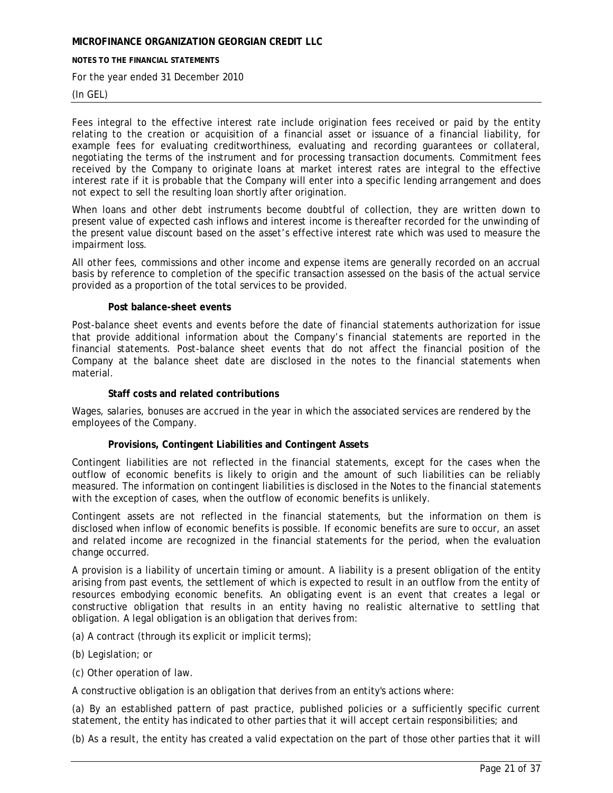**NOTES TO THE FINANCIAL STATEMENTS**

For the year ended 31 December 2010

#### (In GEL)

Fees integral to the effective interest rate include origination fees received or paid by the entity relating to the creation or acquisition of a financial asset or issuance of a financial liability, for example fees for evaluating creditworthiness, evaluating and recording guarantees or collateral, negotiating the terms of the instrument and for processing transaction documents. Commitment fees received by the Company to originate loans at market interest rates are integral to the effective interest rate if it is probable that the Company will enter into a specific lending arrangement and does not expect to sell the resulting loan shortly after origination.

When loans and other debt instruments become doubtful of collection, they are written down to present value of expected cash inflows and interest income is thereafter recorded for the unwinding of the present value discount based on the asset's effective interest rate which was used to measure the impairment loss.

All other fees, commissions and other income and expense items are generally recorded on an accrual basis by reference to completion of the specific transaction assessed on the basis of the actual service provided as a proportion of the total services to be provided.

#### **Post balance-sheet events**

Post-balance sheet events and events before the date of financial statements authorization for issue that provide additional information about the Company's financial statements are reported in the financial statements. Post-balance sheet events that do not affect the financial position of the Company at the balance sheet date are disclosed in the notes to the financial statements when material.

## **Staff costs and related contributions**

Wages, salaries, bonuses are accrued in the year in which the associated services are rendered by the employees of the Company.

#### **Provisions, Contingent Liabilities and Contingent Assets**

Contingent liabilities are not reflected in the financial statements, except for the cases when the outflow of economic benefits is likely to origin and the amount of such liabilities can be reliably measured. The information on contingent liabilities is disclosed in the Notes to the financial statements with the exception of cases, when the outflow of economic benefits is unlikely.

Contingent assets are not reflected in the financial statements, but the information on them is disclosed when inflow of economic benefits is possible. If economic benefits are sure to occur, an asset and related income are recognized in the financial statements for the period, when the evaluation change occurred.

A provision is a liability of uncertain timing or amount. A liability is a present obligation of the entity arising from past events, the settlement of which is expected to result in an outflow from the entity of resources embodying economic benefits. An obligating event is an event that creates a legal or constructive obligation that results in an entity having no realistic alternative to settling that obligation. A legal obligation is an obligation that derives from:

(a) A contract (through its explicit or implicit terms);

- (b) Legislation; or
- (c) Other operation of law.

A constructive obligation is an obligation that derives from an entity's actions where:

(a) By an established pattern of past practice, published policies or a sufficiently specific current statement, the entity has indicated to other parties that it will accept certain responsibilities; and

(b) As a result, the entity has created a valid expectation on the part of those other parties that it will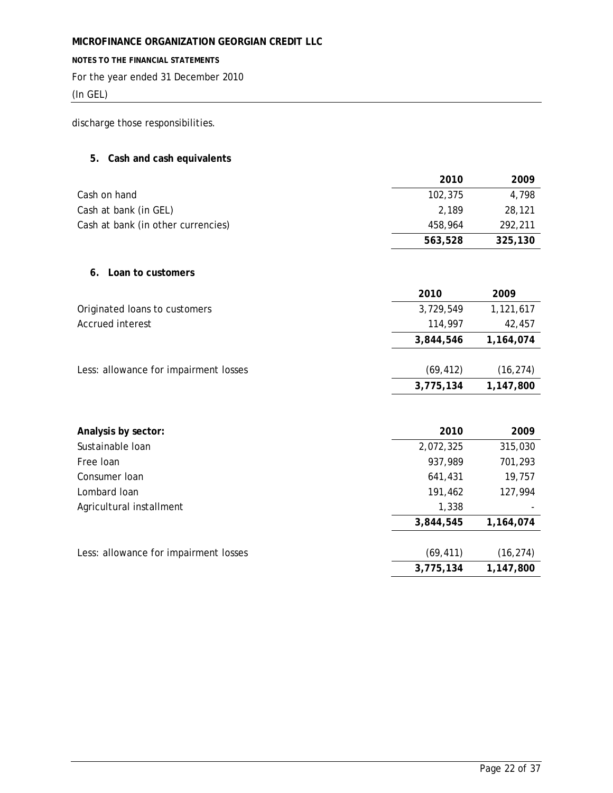**NOTES TO THE FINANCIAL STATEMENTS**

For the year ended 31 December 2010

# (In GEL)

discharge those responsibilities.

# **5. Cash and cash equivalents**

|                                       | 2010      | 2009      |
|---------------------------------------|-----------|-----------|
| Cash on hand                          | 102,375   | 4,798     |
| Cash at bank (in GEL)                 | 2,189     | 28,121    |
| Cash at bank (in other currencies)    | 458,964   | 292,211   |
|                                       | 563,528   | 325,130   |
| Loan to customers<br>6.               |           |           |
|                                       | 2010      | 2009      |
| Originated loans to customers         | 3,729,549 | 1,121,617 |
| Accrued interest                      | 114,997   | 42,457    |
|                                       | 3,844,546 | 1,164,074 |
| Less: allowance for impairment losses | (69, 412) | (16, 274) |
|                                       | 3,775,134 | 1,147,800 |
|                                       |           |           |
| Analysis by sector:                   | 2010      | 2009      |
| Sustainable loan                      | 2,072,325 | 315,030   |
| Free Ioan                             | 937,989   | 701,293   |
| Consumer Ioan                         | 641,431   | 19,757    |
| Lombard Ioan                          | 191,462   | 127,994   |
| Agricultural installment              | 1,338     |           |
|                                       | 3,844,545 | 1,164,074 |
| Less: allowance for impairment losses | (69, 411) | (16, 274) |
|                                       | 3,775,134 | 1,147,800 |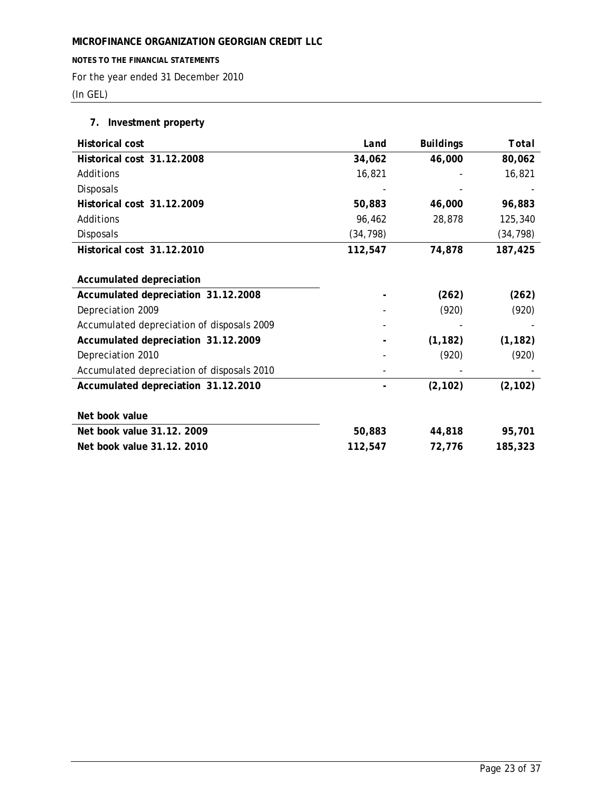**NOTES TO THE FINANCIAL STATEMENTS**

For the year ended 31 December 2010

(In GEL)

# **7. Investment property**

| Historical cost                            | Land      | <b>Buildings</b> | <b>Total</b> |
|--------------------------------------------|-----------|------------------|--------------|
| Historical cost 31.12.2008                 | 34,062    | 46,000           | 80,062       |
| Additions                                  | 16,821    |                  | 16,821       |
| Disposals                                  |           |                  |              |
| Historical cost 31.12.2009                 | 50,883    | 46,000           | 96,883       |
| Additions                                  | 96,462    | 28,878           | 125,340      |
| Disposals                                  | (34, 798) |                  | (34, 798)    |
| Historical cost 31.12.2010                 | 112,547   | 74,878           | 187,425      |
|                                            |           |                  |              |
| Accumulated depreciation                   |           |                  |              |
| Accumulated depreciation 31.12.2008        |           | (262)            | (262)        |
| Depreciation 2009                          |           | (920)            | (920)        |
| Accumulated depreciation of disposals 2009 |           |                  |              |
| Accumulated depreciation 31.12.2009        |           | (1, 182)         | (1, 182)     |
| Depreciation 2010                          |           | (920)            | (920)        |
| Accumulated depreciation of disposals 2010 |           |                  |              |
| Accumulated depreciation 31.12.2010        |           | (2, 102)         | (2, 102)     |
|                                            |           |                  |              |
| Net book value                             |           |                  |              |
| Net book value 31.12. 2009                 | 50,883    | 44,818           | 95,701       |
| Net book value 31.12. 2010                 | 112,547   | 72,776           | 185,323      |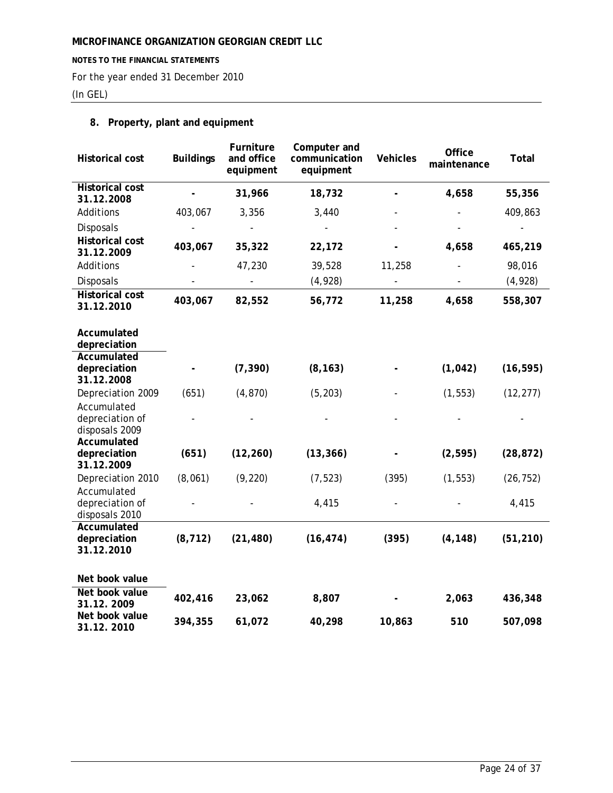### **NOTES TO THE FINANCIAL STATEMENTS**

For the year ended 31 December 2010

(In GEL)

# **8. Property, plant and equipment**

| <b>Historical cost</b>                                          | <b>Buildings</b> | Furniture<br>and office<br>equipment | Computer and<br>communication<br>equipment | <b>Vehicles</b> | Office<br>maintenance        | Total     |
|-----------------------------------------------------------------|------------------|--------------------------------------|--------------------------------------------|-----------------|------------------------------|-----------|
| <b>Historical cost</b><br>31.12.2008                            |                  | 31,966                               | 18,732                                     |                 | 4,658                        | 55,356    |
| Additions                                                       | 403,067          | 3,356                                | 3,440                                      |                 |                              | 409,863   |
| Disposals                                                       |                  |                                      |                                            |                 |                              |           |
| <b>Historical cost</b><br>31.12.2009                            | 403,067          | 35,322                               | 22,172                                     |                 | 4,658                        | 465,219   |
| Additions                                                       |                  | 47,230                               | 39,528                                     | 11,258          |                              | 98,016    |
| Disposals                                                       |                  |                                      | (4, 928)                                   |                 | $\qquad \qquad \blacksquare$ | (4, 928)  |
| <b>Historical cost</b><br>31.12.2010                            | 403,067          | 82,552                               | 56,772                                     | 11,258          | 4,658                        | 558,307   |
| Accumulated<br>depreciation                                     |                  |                                      |                                            |                 |                              |           |
| Accumulated<br>depreciation<br>31.12.2008                       |                  | (7, 390)                             | (8, 163)                                   |                 | (1, 042)                     | (16, 595) |
| Depreciation 2009                                               | (651)            | (4, 870)                             | (5, 203)                                   |                 | (1, 553)                     | (12, 277) |
| Accumulated<br>depreciation of<br>disposals 2009<br>Accumulated |                  |                                      |                                            |                 |                              |           |
| depreciation<br>31.12.2009                                      | (651)            | (12, 260)                            | (13, 366)                                  |                 | (2, 595)                     | (28, 872) |
| Depreciation 2010                                               | (8,061)          | (9, 220)                             | (7, 523)                                   | (395)           | (1, 553)                     | (26, 752) |
| Accumulated<br>depreciation of<br>disposals 2010                |                  |                                      | 4,415                                      |                 |                              | 4,415     |
| Accumulated<br>depreciation<br>31.12.2010                       | (8, 712)         | (21, 480)                            | (16, 474)                                  | (395)           | (4, 148)                     | (51, 210) |
| Net book value                                                  |                  |                                      |                                            |                 |                              |           |
| Net book value<br>31.12.2009                                    | 402,416          | 23,062                               | 8,807                                      |                 | 2,063                        | 436,348   |
| Net book value<br>31.12.2010                                    | 394,355          | 61,072                               | 40,298                                     | 10,863          | 510                          | 507,098   |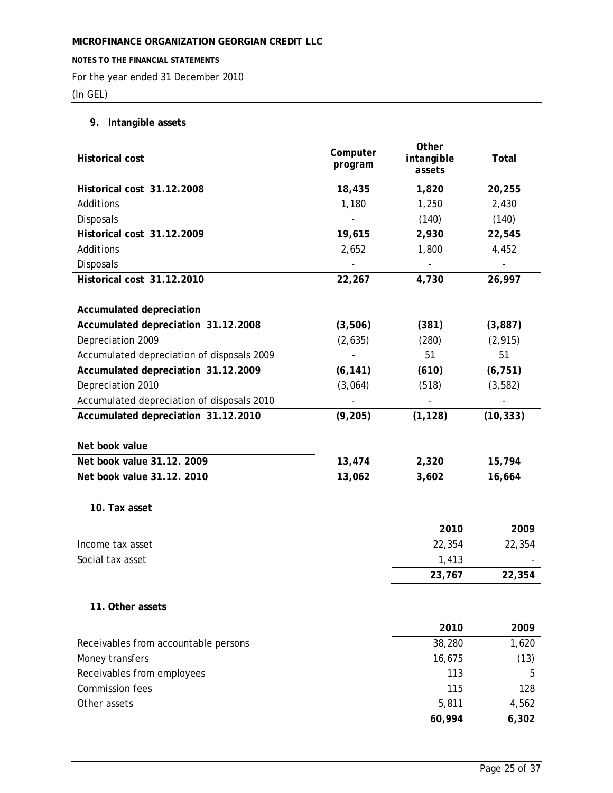**NOTES TO THE FINANCIAL STATEMENTS**

For the year ended 31 December 2010

(In GEL)

# **9. Intangible assets**

| <b>Historical cost</b>                     | Computer<br>program | <b>Other</b><br>intangible<br>assets | Total     |
|--------------------------------------------|---------------------|--------------------------------------|-----------|
| Historical cost 31.12.2008                 | 18,435              | 1,820                                | 20,255    |
| Additions                                  | 1,180               | 1,250                                | 2,430     |
| Disposals                                  |                     | (140)                                | (140)     |
| Historical cost 31.12.2009                 | 19,615              | 2,930                                | 22,545    |
| Additions                                  | 2,652               | 1,800                                | 4,452     |
| Disposals                                  |                     |                                      |           |
| Historical cost 31.12.2010                 | 22,267              | 4,730                                | 26,997    |
| Accumulated depreciation                   |                     |                                      |           |
| Accumulated depreciation 31.12.2008        | (3,506)             | (381)                                | (3,887)   |
| Depreciation 2009                          | (2,635)             | (280)                                | (2, 915)  |
| Accumulated depreciation of disposals 2009 |                     | 51                                   | 51        |
| Accumulated depreciation 31.12.2009        | (6, 141)            | (610)                                | (6, 751)  |
| Depreciation 2010                          | (3,064)             | (518)                                | (3, 582)  |
| Accumulated depreciation of disposals 2010 |                     |                                      |           |
| Accumulated depreciation 31.12.2010        | (9, 205)            | (1, 128)                             | (10, 333) |
| Net book value                             |                     |                                      |           |
| Net book value 31.12. 2009                 | 13,474              | 2,320                                | 15,794    |
| Net book value 31.12. 2010                 | 13,062              | 3,602                                | 16,664    |
| 10. Tax asset                              |                     |                                      |           |
|                                            |                     | 2010                                 | 2009      |
| Income tax asset                           |                     | 22,354                               | 22,354    |
| Social tax asset                           |                     | 1,413                                |           |
|                                            |                     | 23,767                               | 22,354    |
| 11. Other assets                           |                     |                                      |           |
|                                            |                     | 2010                                 | 2009      |
| Receivables from accountable persons       |                     | 38,280                               | 1,620     |
| Money transfers                            |                     | 16,675                               | (13)      |
| Receivables from employees                 |                     | 113                                  | 5         |
| Commission fees                            |                     | 115                                  | 128       |
| Other assets                               |                     | 5,811                                | 4,562     |
|                                            |                     | 60,994                               | 6,302     |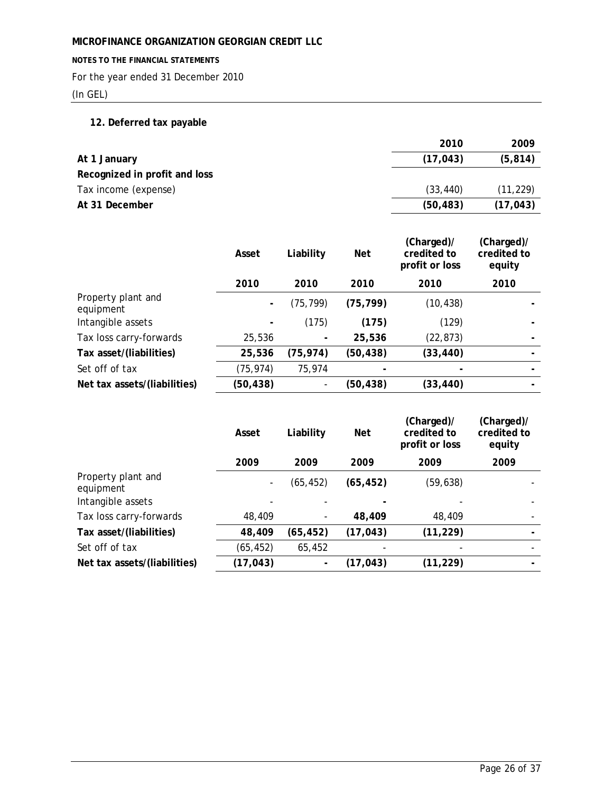**NOTES TO THE FINANCIAL STATEMENTS**

For the year ended 31 December 2010

(In GEL)

# **12. Deferred tax payable**

|                               | 2010      | 2009      |
|-------------------------------|-----------|-----------|
| At 1 January                  | (17, 043) | (5, 814)  |
| Recognized in profit and loss |           |           |
| Tax income (expense)          | (33, 440) | (11, 229) |
| At 31 December                | (50, 483) | (17, 043) |

|                                 | Asset                    | Liability | <b>Net</b> | (Charged)/<br>credited to<br>profit or loss | (Charged)/<br>credited to<br>equity |
|---------------------------------|--------------------------|-----------|------------|---------------------------------------------|-------------------------------------|
|                                 | 2010                     | 2010      | 2010       | 2010                                        | 2010                                |
| Property plant and<br>equipment | $\overline{\phantom{a}}$ | (75, 799) | (75, 799)  | (10, 438)                                   |                                     |
| Intangible assets               | $\overline{\phantom{a}}$ | (175)     | (175)      | (129)                                       |                                     |
| Tax loss carry-forwards         | 25,536                   |           | 25,536     | (22, 873)                                   |                                     |
| Tax asset/(liabilities)         | 25,536                   | (75, 974) | (50,438)   | (33, 440)                                   |                                     |
| Set off of tax                  | (75, 974)                | 75,974    |            |                                             | ۰                                   |
| Net tax assets/(liabilities)    | (50, 438)                |           | (50, 438)  | (33, 440)                                   |                                     |

|                                 | Asset                    | Liability | <b>Net</b> | (Charged)/<br>credited to<br>profit or loss | (Charged)/<br>credited to<br>equity |
|---------------------------------|--------------------------|-----------|------------|---------------------------------------------|-------------------------------------|
|                                 | 2009                     | 2009      | 2009       | 2009                                        | 2009                                |
| Property plant and<br>equipment | $\overline{\phantom{a}}$ | (65, 452) | (65, 452)  | (59, 638)                                   |                                     |
| Intangible assets               |                          |           |            |                                             |                                     |
| Tax loss carry-forwards         | 48,409                   | -         | 48,409     | 48,409                                      |                                     |
| Tax asset/(liabilities)         | 48,409                   | (65, 452) | (17, 043)  | (11, 229)                                   |                                     |
| Set off of tax                  | (65, 452)                | 65,452    |            |                                             |                                     |
| Net tax assets/(liabilities)    | (17, 043)                | ۰         | (17, 043)  | (11, 229)                                   |                                     |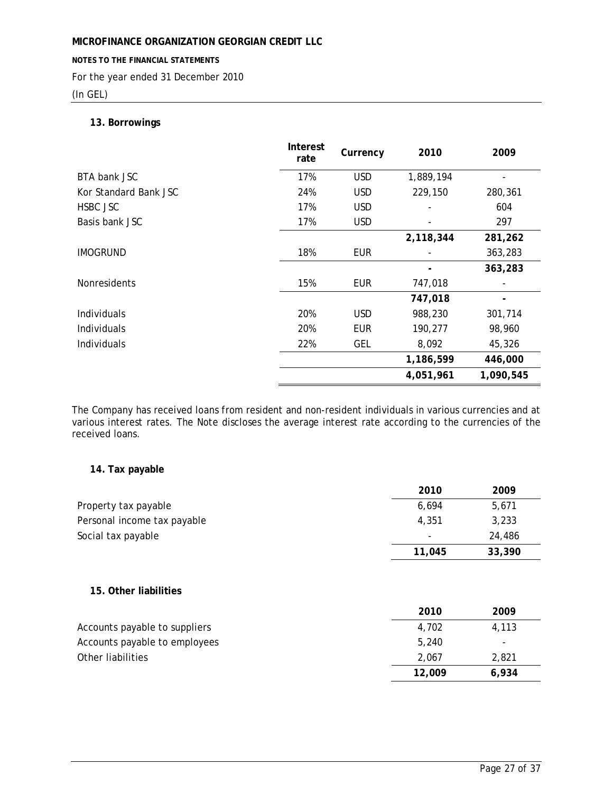**NOTES TO THE FINANCIAL STATEMENTS**

For the year ended 31 December 2010

# (In GEL)

# **13. Borrowings**

|                       | Interest<br>rate | Currency   | 2010      | 2009                     |
|-----------------------|------------------|------------|-----------|--------------------------|
| BTA bank JSC          | 17%              | <b>USD</b> | 1,889,194 |                          |
| Kor Standard Bank JSC | 24%              | <b>USD</b> | 229,150   | 280,361                  |
| HSBC JSC              | 17%              | <b>USD</b> |           | 604                      |
| Basis bank JSC        | 17%              | <b>USD</b> |           | 297                      |
|                       |                  |            | 2,118,344 | 281,262                  |
| <b>IMOGRUND</b>       | 18%              | EUR.       |           | 363,283                  |
|                       |                  |            |           | 363,283                  |
| <b>Nonresidents</b>   | 15%              | <b>EUR</b> | 747,018   |                          |
|                       |                  |            | 747,018   | $\overline{\phantom{a}}$ |
| Individuals           | 20%              | <b>USD</b> | 988,230   | 301,714                  |
| Individuals           | 20%              | EUR        | 190,277   | 98,960                   |
| Individuals           | 22%              | GEL        | 8,092     | 45,326                   |
|                       |                  |            | 1,186,599 | 446,000                  |
|                       |                  |            | 4,051,961 | 1,090,545                |

The Company has received loans from resident and non-resident individuals in various currencies and at various interest rates. The Note discloses the average interest rate according to the currencies of the received loans.

# **14. Tax payable**

|                             | 2010   | 2009   |
|-----------------------------|--------|--------|
| Property tax payable        | 6,694  | 5,671  |
| Personal income tax payable | 4,351  | 3,233  |
| Social tax payable          |        | 24,486 |
|                             | 11,045 | 33,390 |
|                             |        |        |

# **15. Other liabilities**

|                               | 2010   | 2009                     |
|-------------------------------|--------|--------------------------|
| Accounts payable to suppliers | 4.702  | 4.113                    |
| Accounts payable to employees | 5,240  | $\overline{\phantom{a}}$ |
| Other liabilities             | 2.067  | 2.821                    |
|                               | 12,009 | 6,934                    |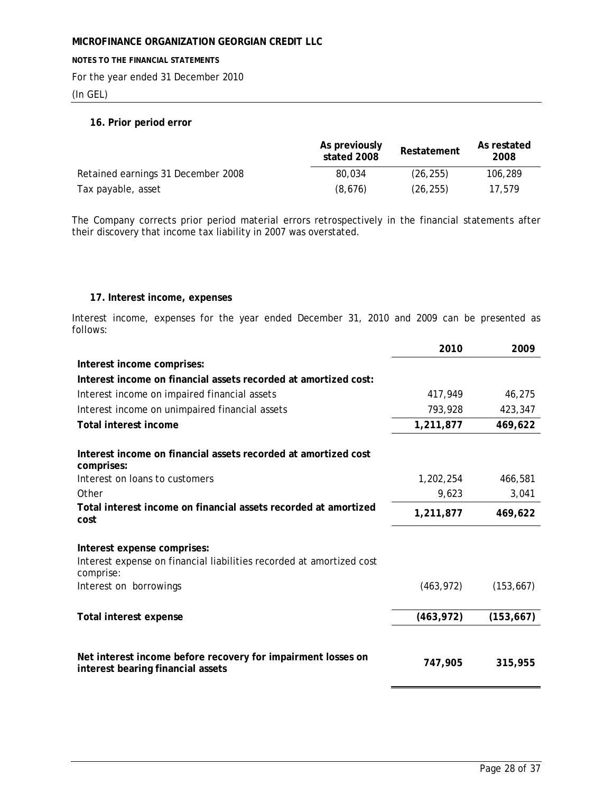#### **NOTES TO THE FINANCIAL STATEMENTS**

For the year ended 31 December 2010

(In GEL)

## **16. Prior period error**

|                                    | As previously<br>stated 2008 | Restatement | As restated<br>2008 |
|------------------------------------|------------------------------|-------------|---------------------|
| Retained earnings 31 December 2008 | 80.034                       | (26, 255)   | 106,289             |
| Tax payable, asset                 | (8,676)                      | (26, 255)   | 17.579              |

The Company corrects prior period material errors retrospectively in the financial statements after their discovery that income tax liability in 2007 was overstated.

# **17. Interest income, expenses**

Interest income, expenses for the year ended December 31, 2010 and 2009 can be presented as follows:

|                                                                                                     | 2010       | 2009       |
|-----------------------------------------------------------------------------------------------------|------------|------------|
| Interest income comprises:                                                                          |            |            |
| Interest income on financial assets recorded at amortized cost:                                     |            |            |
| Interest income on impaired financial assets                                                        | 417,949    | 46,275     |
| Interest income on unimpaired financial assets                                                      | 793,928    | 423,347    |
| Total interest income                                                                               | 1,211,877  | 469,622    |
| Interest income on financial assets recorded at amortized cost<br>comprises:                        |            |            |
| Interest on loans to customers                                                                      | 1,202,254  | 466,581    |
| Other                                                                                               | 9,623      | 3,041      |
| Total interest income on financial assets recorded at amortized<br>cost                             | 1,211,877  | 469,622    |
| Interest expense comprises:<br>Interest expense on financial liabilities recorded at amortized cost |            |            |
| comprise:<br>Interest on borrowings                                                                 | (463, 972) | (153, 667) |
| Total interest expense                                                                              | (463, 972) | (153, 667) |
| Net interest income before recovery for impairment losses on<br>interest bearing financial assets   | 747,905    | 315,955    |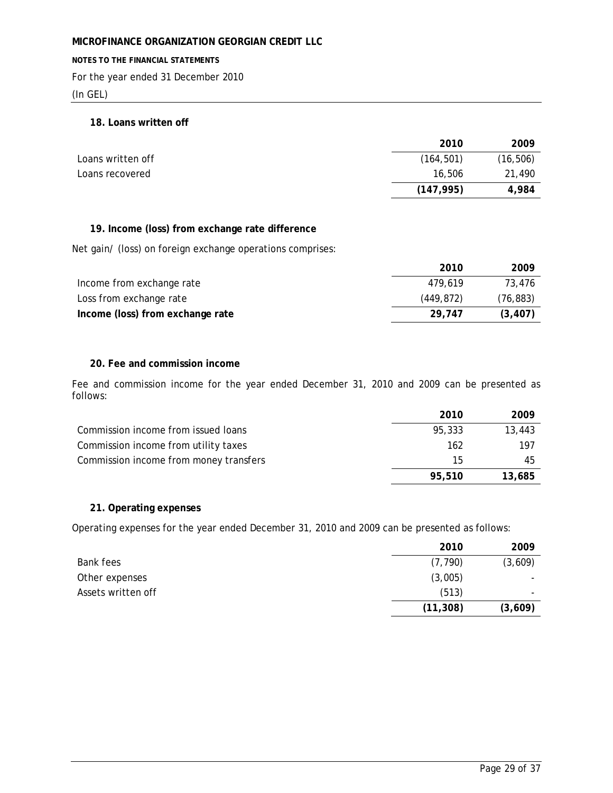### **NOTES TO THE FINANCIAL STATEMENTS**

For the year ended 31 December 2010

(In GEL)

# **18. Loans written off**

|                   | 2010       | 2009      |
|-------------------|------------|-----------|
| Loans written off | (164, 501) | (16, 506) |
| Loans recovered   | 16,506     | 21,490    |
|                   | (147, 995) | 4.984     |

# **19. Income (loss) from exchange rate difference**

Net gain/ (loss) on foreign exchange operations comprises:

|                                  | 2010      | 2009     |
|----------------------------------|-----------|----------|
| Income from exchange rate        | 479.619   | 73.476   |
| Loss from exchange rate          | (449.872) | (76,883) |
| Income (loss) from exchange rate | 29,747    | (3, 407) |

# **20. Fee and commission income**

Fee and commission income for the year ended December 31, 2010 and 2009 can be presented as follows:

|                                        | 2010   | 2009   |
|----------------------------------------|--------|--------|
| Commission income from issued loans    | 95,333 | 13,443 |
| Commission income from utility taxes   | 162    | 197    |
| Commission income from money transfers | 15     | 45     |
|                                        | 95,510 | 13,685 |

# **21. Operating expenses**

Operating expenses for the year ended December 31, 2010 and 2009 can be presented as follows:

|                    | 2010      | 2009                     |
|--------------------|-----------|--------------------------|
| Bank fees          | (7, 790)  | (3,609)                  |
| Other expenses     | (3,005)   | $\overline{\phantom{0}}$ |
| Assets written off | (513)     | $\overline{\phantom{0}}$ |
|                    | (11, 308) | (3,609)                  |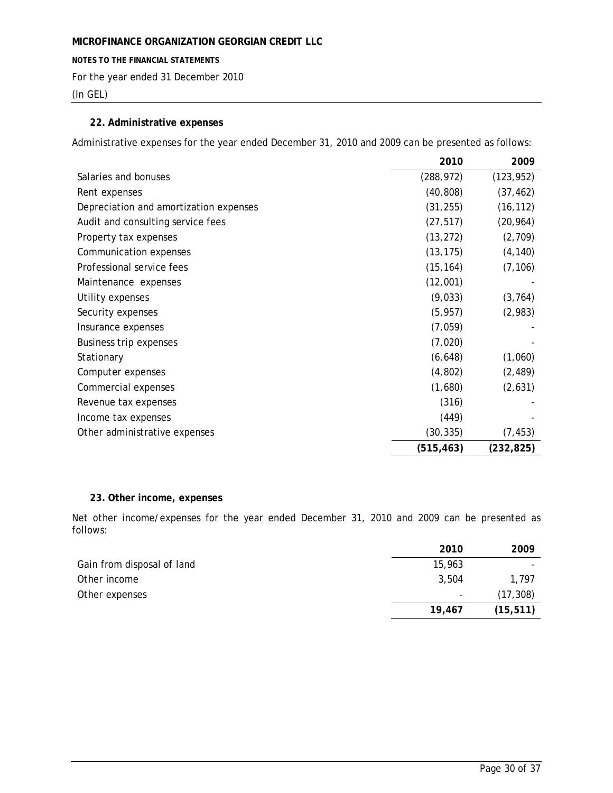**NOTES TO THE FINANCIAL STATEMENTS**

For the year ended 31 December 2010

(In GEL)

# **22. Administrative expenses**

Administrative expenses for the year ended December 31, 2010 and 2009 can be presented as follows:

|                                        | 2010       | 2009       |
|----------------------------------------|------------|------------|
| Salaries and bonuses                   | (288, 972) | (123, 952) |
| Rent expenses                          | (40, 808)  | (37, 462)  |
| Depreciation and amortization expenses | (31, 255)  | (16, 112)  |
| Audit and consulting service fees      | (27, 517)  | (20, 964)  |
| Property tax expenses                  | (13, 272)  | (2,709)    |
| Communication expenses                 | (13, 175)  | (4, 140)   |
| Professional service fees              | (15, 164)  | (7, 106)   |
| Maintenance expenses                   | (12,001)   |            |
| Utility expenses                       | (9,033)    | (3, 764)   |
| Security expenses                      | (5, 957)   | (2,983)    |
| Insurance expenses                     | (7,059)    |            |
| Business trip expenses                 | (7,020)    |            |
| Stationary                             | (6, 648)   | (1,060)    |
| Computer expenses                      | (4,802)    | (2, 489)   |
| Commercial expenses                    | (1,680)    | (2,631)    |
| Revenue tax expenses                   | (316)      |            |
| Income tax expenses                    | (449)      |            |
| Other administrative expenses          | (30, 335)  | (7, 453)   |
|                                        | (515, 463) | (232, 825) |

#### **23. Other income, expenses**

Net other income/expenses for the year ended December 31, 2010 and 2009 can be presented as follows:

|                            | 2010   | 2009      |
|----------------------------|--------|-----------|
| Gain from disposal of land | 15,963 |           |
| Other income               | 3,504  | 1.797     |
| Other expenses             |        | (17, 308) |
|                            | 19,467 | (15, 511) |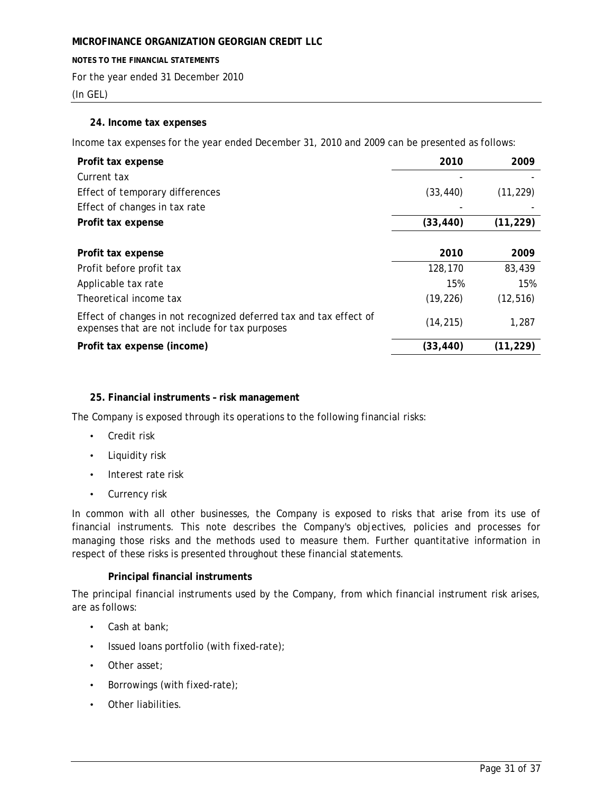#### **NOTES TO THE FINANCIAL STATEMENTS**

For the year ended 31 December 2010

(In GEL)

### **24. Income tax expenses**

Income tax expenses for the year ended December 31, 2010 and 2009 can be presented as follows:

| Profit tax expense                                                                                                   | 2010      | 2009      |
|----------------------------------------------------------------------------------------------------------------------|-----------|-----------|
| Current tax                                                                                                          |           |           |
| Effect of temporary differences                                                                                      | (33, 440) | (11, 229) |
| Effect of changes in tax rate                                                                                        |           |           |
| Profit tax expense                                                                                                   | (33, 440) | (11, 229) |
|                                                                                                                      |           |           |
| Profit tax expense                                                                                                   | 2010      | 2009      |
| Profit before profit tax                                                                                             | 128,170   | 83,439    |
| Applicable tax rate                                                                                                  | 15%       | 15%       |
| Theoretical income tax                                                                                               | (19, 226) | (12, 516) |
| Effect of changes in not recognized deferred tax and tax effect of<br>expenses that are not include for tax purposes | (14, 215) | 1,287     |
| Profit tax expense (income)                                                                                          | (33, 440) | (11, 229) |

## **25. Financial instruments – risk management**

The Company is exposed through its operations to the following financial risks:

- Credit risk
- Liquidity risk
- Interest rate risk
- Currency risk

In common with all other businesses, the Company is exposed to risks that arise from its use of financial instruments. This note describes the Company's objectives, policies and processes for managing those risks and the methods used to measure them. Further quantitative information in respect of these risks is presented throughout these financial statements.

#### **Principal financial instruments**

The principal financial instruments used by the Company, from which financial instrument risk arises, are as follows:

- Cash at bank;
- Issued loans portfolio (with fixed-rate);
- Other asset;
- Borrowings (with fixed-rate);
- Other liabilities.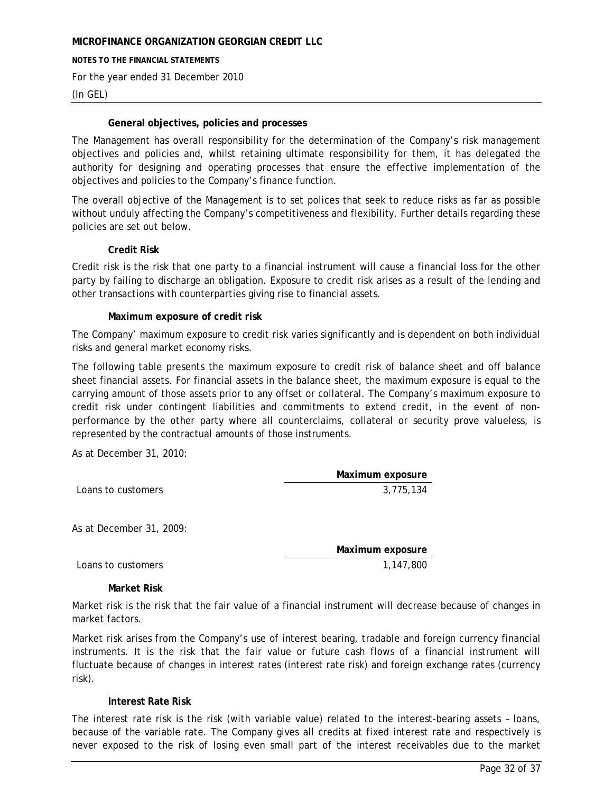**NOTES TO THE FINANCIAL STATEMENTS**

For the year ended 31 December 2010

#### (In GEL)

### **General objectives, policies and processes**

The Management has overall responsibility for the determination of the Company's risk management objectives and policies and, whilst retaining ultimate responsibility for them, it has delegated the authority for designing and operating processes that ensure the effective implementation of the objectives and policies to the Company's finance function.

The overall objective of the Management is to set polices that seek to reduce risks as far as possible without unduly affecting the Company's competitiveness and flexibility. Further details regarding these policies are set out below.

### **Credit Risk**

Credit risk is the risk that one party to a financial instrument will cause a financial loss for the other party by failing to discharge an obligation. Exposure to credit risk arises as a result of the lending and other transactions with counterparties giving rise to financial assets.

### **Maximum exposure of credit risk**

The Company' maximum exposure to credit risk varies significantly and is dependent on both individual risks and general market economy risks.

The following table presents the maximum exposure to credit risk of balance sheet and off balance sheet financial assets. For financial assets in the balance sheet, the maximum exposure is equal to the carrying amount of those assets prior to any offset or collateral. The Company's maximum exposure to credit risk under contingent liabilities and commitments to extend credit, in the event of nonperformance by the other party where all counterclaims, collateral or security prove valueless, is represented by the contractual amounts of those instruments.

As at December 31, 2010:

|                    | Maximum exposure |
|--------------------|------------------|
| Loans to customers | 3,775,134        |

As at December 31, 2009:

**Maximum exposure** Loans to customers 1,147,800

#### **Market Risk**

Market risk is the risk that the fair value of a financial instrument will decrease because of changes in market factors.

Market risk arises from the Company's use of interest bearing, tradable and foreign currency financial instruments. It is the risk that the fair value or future cash flows of a financial instrument will fluctuate because of changes in interest rates (interest rate risk) and foreign exchange rates (currency risk).

### **Interest Rate Risk**

The interest rate risk is the risk (with variable value) related to the interest-bearing assets – loans, because of the variable rate. The Company gives all credits at fixed interest rate and respectively is never exposed to the risk of losing even small part of the interest receivables due to the market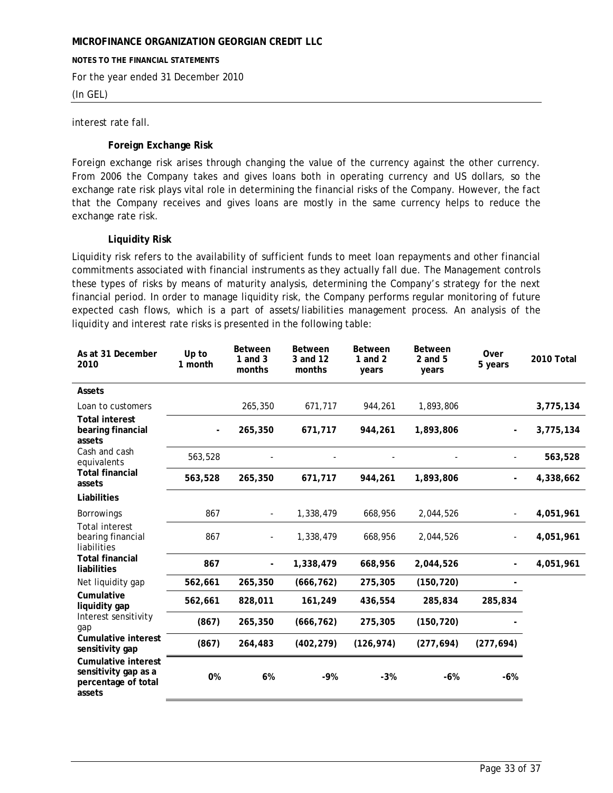**NOTES TO THE FINANCIAL STATEMENTS**

For the year ended 31 December 2010

### (In GEL)

interest rate fall.

# **Foreign Exchange Risk**

Foreign exchange risk arises through changing the value of the currency against the other currency. From 2006 the Company takes and gives loans both in operating currency and US dollars, so the exchange rate risk plays vital role in determining the financial risks of the Company. However, the fact that the Company receives and gives loans are mostly in the same currency helps to reduce the exchange rate risk.

# **Liquidity Risk**

Liquidity risk refers to the availability of sufficient funds to meet loan repayments and other financial commitments associated with financial instruments as they actually fall due. The Management controls these types of risks by means of maturity analysis, determining the Company's strategy for the next financial period. In order to manage liquidity risk, the Company performs regular monitoring of future expected cash flows, which is a part of assets/liabilities management process. An analysis of the liquidity and interest rate risks is presented in the following table:

| As at 31 December<br>2010                                                           | Up to<br>1 month | <b>Between</b><br>1 and $3$<br>months | <b>Between</b><br>3 and 12<br>months | <b>Between</b><br>1 and $2$<br>years | <b>Between</b><br>$2$ and $5$<br>years | Over<br>5 years | 2010 Total |
|-------------------------------------------------------------------------------------|------------------|---------------------------------------|--------------------------------------|--------------------------------------|----------------------------------------|-----------------|------------|
| Assets                                                                              |                  |                                       |                                      |                                      |                                        |                 |            |
| Loan to customers                                                                   |                  | 265,350                               | 671,717                              | 944,261                              | 1,893,806                              |                 | 3,775,134  |
| <b>Total interest</b><br>bearing financial<br>assets                                |                  | 265,350                               | 671,717                              | 944,261                              | 1,893,806                              |                 | 3,775,134  |
| Cash and cash<br>equivalents                                                        | 563,528          |                                       |                                      |                                      |                                        |                 | 563,528    |
| <b>Total financial</b><br>assets                                                    | 563,528          | 265,350                               | 671,717                              | 944,261                              | 1,893,806                              |                 | 4,338,662  |
| Liabilities                                                                         |                  |                                       |                                      |                                      |                                        |                 |            |
| Borrowings                                                                          | 867              |                                       | 1,338,479                            | 668,956                              | 2,044,526                              |                 | 4,051,961  |
| <b>Total interest</b><br>bearing financial<br>liabilities                           | 867              |                                       | 1,338,479                            | 668,956                              | 2,044,526                              |                 | 4,051,961  |
| <b>Total financial</b><br>liabilities                                               | 867              |                                       | 1,338,479                            | 668,956                              | 2,044,526                              |                 | 4,051,961  |
| Net liquidity gap                                                                   | 562,661          | 265,350                               | (666, 762)                           | 275,305                              | (150, 720)                             |                 |            |
| Cumulative<br>liquidity gap                                                         | 562,661          | 828,011                               | 161,249                              | 436,554                              | 285,834                                | 285,834         |            |
| Interest sensitivity<br>gap                                                         | (867)            | 265,350                               | (666, 762)                           | 275,305                              | (150, 720)                             |                 |            |
| <b>Cumulative interest</b><br>sensitivity gap                                       | (867)            | 264,483                               | (402, 279)                           | (126, 974)                           | (277, 694)                             | (277, 694)      |            |
| <b>Cumulative interest</b><br>sensitivity gap as a<br>percentage of total<br>assets | 0%               | 6%                                    | $-9%$                                | $-3%$                                | $-6%$                                  | $-6%$           |            |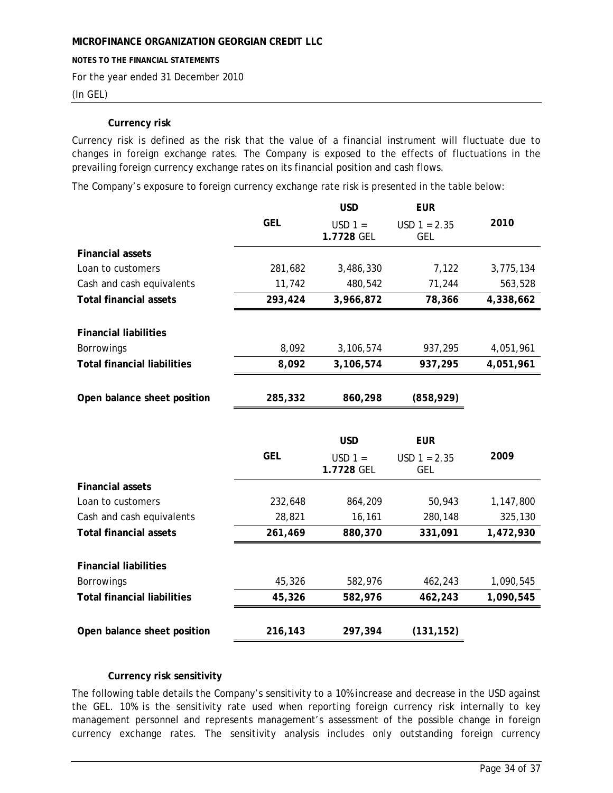**NOTES TO THE FINANCIAL STATEMENTS**

For the year ended 31 December 2010

(In GEL)

## **Currency risk**

Currency risk is defined as the risk that the value of a financial instrument will fluctuate due to changes in foreign exchange rates. The Company is exposed to the effects of fluctuations in the prevailing foreign currency exchange rates on its financial position and cash flows.

The Company's exposure to foreign currency exchange rate risk is presented in the table below:

|                                    |            | <b>USD</b>              | <b>EUR</b>                   |           |
|------------------------------------|------------|-------------------------|------------------------------|-----------|
|                                    | <b>GEL</b> | $USD 1 =$<br>1.7728 GEL | $USD 1 = 2.35$<br><b>GEL</b> | 2010      |
| <b>Financial assets</b>            |            |                         |                              |           |
| Loan to customers                  | 281,682    | 3,486,330               | 7,122                        | 3,775,134 |
| Cash and cash equivalents          | 11,742     | 480,542                 | 71,244                       | 563,528   |
| <b>Total financial assets</b>      | 293,424    | 3,966,872               | 78,366                       | 4,338,662 |
| <b>Financial liabilities</b>       |            |                         |                              |           |
| Borrowings                         | 8,092      | 3,106,574               | 937,295                      | 4,051,961 |
| <b>Total financial liabilities</b> | 8,092      | 3,106,574               | 937,295                      | 4,051,961 |
| Open balance sheet position        | 285,332    | 860,298                 | (858, 929)                   |           |
|                                    |            |                         |                              |           |
|                                    |            |                         |                              |           |
|                                    |            | <b>USD</b>              | <b>EUR</b>                   |           |
|                                    | <b>GEL</b> | $USD 1 =$<br>1.7728 GEL | $USD 1 = 2.35$<br><b>GEL</b> | 2009      |
| <b>Financial assets</b>            |            |                         |                              |           |
| Loan to customers                  | 232,648    | 864,209                 | 50,943                       | 1,147,800 |
| Cash and cash equivalents          | 28,821     | 16,161                  | 280,148                      | 325,130   |
| <b>Total financial assets</b>      | 261,469    | 880,370                 | 331,091                      | 1,472,930 |
| <b>Financial liabilities</b>       |            |                         |                              |           |
| <b>Borrowings</b>                  | 45,326     | 582,976                 | 462,243                      | 1,090,545 |
| <b>Total financial liabilities</b> | 45,326     | 582,976                 | 462,243                      | 1,090,545 |

# **Currency risk sensitivity**

The following table details the Company's sensitivity to a 10% increase and decrease in the USD against the GEL. 10% is the sensitivity rate used when reporting foreign currency risk internally to key management personnel and represents management's assessment of the possible change in foreign currency exchange rates. The sensitivity analysis includes only outstanding foreign currency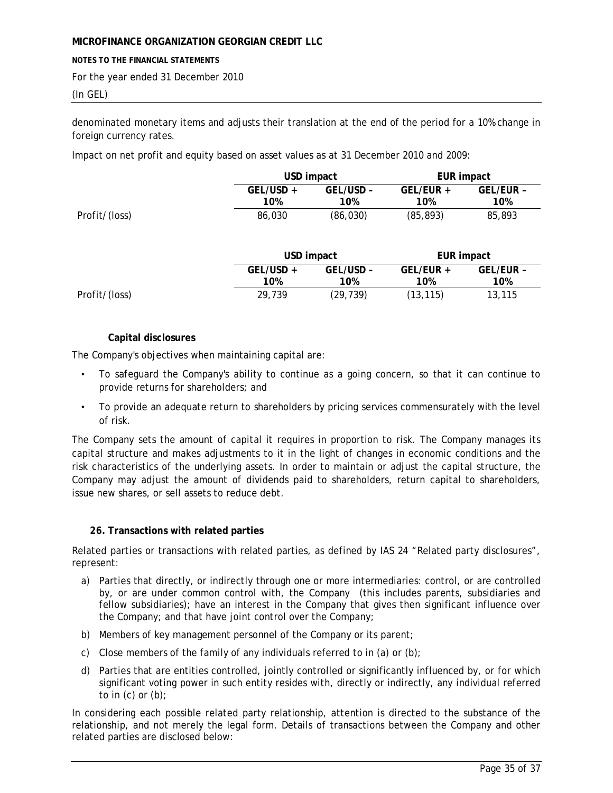#### **NOTES TO THE FINANCIAL STATEMENTS**

For the year ended 31 December 2010

#### (In GEL)

denominated monetary items and adjusts their translation at the end of the period for a 10% change in foreign currency rates.

Impact on net profit and equity based on asset values as at 31 December 2010 and 2009:

|               |                    | USD impact       |                    | EUR impact       |  |
|---------------|--------------------|------------------|--------------------|------------------|--|
|               | $GEL/USD +$<br>10% | GEL/USD -<br>10% | $GEL/EUR +$<br>10% | GEL/EUR -<br>10% |  |
| Profit/(loss) | 86,030             | (86, 030)        | (85, 893)          | 85,893           |  |

|               |                    | USD impact       |                    | EUR impact       |  |
|---------------|--------------------|------------------|--------------------|------------------|--|
|               | $GEL/USD +$<br>10% | GEL/USD -<br>10% | $GEL/EUR +$<br>10% | GEL/EUR -<br>10% |  |
| Profit/(loss) | 29.739             | (29,739)         | (13, 115)          | 13,115           |  |

### **Capital disclosures**

The Company's objectives when maintaining capital are:

- To safeguard the Company's ability to continue as a going concern, so that it can continue to provide returns for shareholders; and
- To provide an adequate return to shareholders by pricing services commensurately with the level of risk.

The Company sets the amount of capital it requires in proportion to risk. The Company manages its capital structure and makes adjustments to it in the light of changes in economic conditions and the risk characteristics of the underlying assets. In order to maintain or adjust the capital structure, the Company may adjust the amount of dividends paid to shareholders, return capital to shareholders, issue new shares, or sell assets to reduce debt.

#### **26. Transactions with related parties**

Related parties or transactions with related parties, as defined by IAS 24 "Related party disclosures", represent:

- a) Parties that directly, or indirectly through one or more intermediaries: control, or are controlled by, or are under common control with, the Company (this includes parents, subsidiaries and fellow subsidiaries); have an interest in the Company that gives then significant influence over the Company; and that have joint control over the Company;
- b) Members of key management personnel of the Company or its parent;
- c) Close members of the family of any individuals referred to in (a) or (b);
- d) Parties that are entities controlled, jointly controlled or significantly influenced by, or for which significant voting power in such entity resides with, directly or indirectly, any individual referred to in  $(c)$  or  $(b)$ ;

In considering each possible related party relationship, attention is directed to the substance of the relationship, and not merely the legal form. Details of transactions between the Company and other related parties are disclosed below: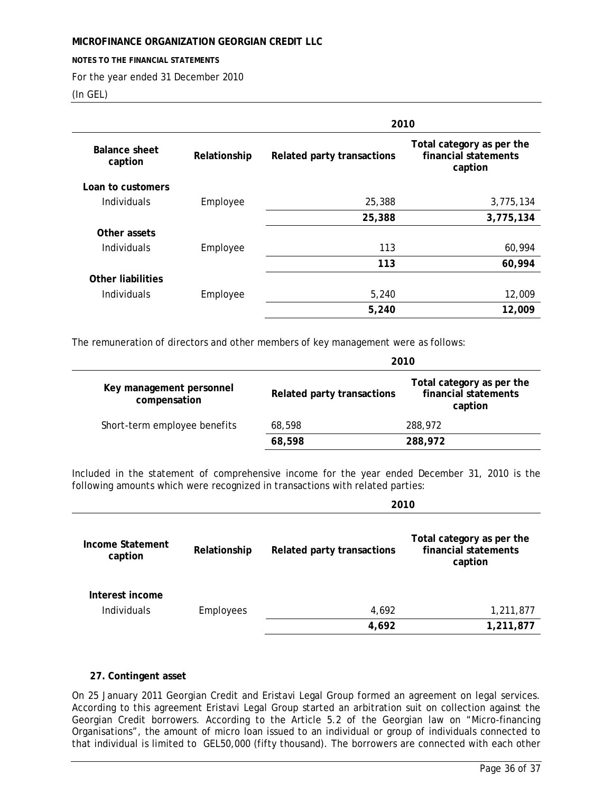#### **NOTES TO THE FINANCIAL STATEMENTS**

## For the year ended 31 December 2010

(In GEL)

|                          |              | 2010                       |                                                              |  |
|--------------------------|--------------|----------------------------|--------------------------------------------------------------|--|
| Balance sheet<br>caption | Relationship | Related party transactions | Total category as per the<br>financial statements<br>caption |  |
| Loan to customers        |              |                            |                                                              |  |
| Individuals              | Employee     | 25,388                     | 3,775,134                                                    |  |
|                          |              | 25,388                     | 3,775,134                                                    |  |
| Other assets             |              |                            |                                                              |  |
| Individuals              | Employee     | 113                        | 60,994                                                       |  |
|                          |              | 113                        | 60,994                                                       |  |
| Other liabilities        |              |                            |                                                              |  |
| Individuals              | Employee     | 5,240                      | 12,009                                                       |  |
|                          |              | 5,240                      | 12,009                                                       |  |

The remuneration of directors and other members of key management were as follows:

|                                          | 2010                       |                                                              |  |
|------------------------------------------|----------------------------|--------------------------------------------------------------|--|
| Key management personnel<br>compensation | Related party transactions | Total category as per the<br>financial statements<br>caption |  |
| Short-term employee benefits             | 68,598                     | 288,972                                                      |  |
|                                          | 68,598                     | 288,972                                                      |  |
|                                          |                            |                                                              |  |

Included in the statement of comprehensive income for the year ended December 31, 2010 is the following amounts which were recognized in transactions with related parties:

|                                |              | 2010                       |                                                              |  |
|--------------------------------|--------------|----------------------------|--------------------------------------------------------------|--|
| Income Statement<br>caption    | Relationship | Related party transactions | Total category as per the<br>financial statements<br>caption |  |
| Interest income<br>Individuals | Employees    | 4,692                      | 1,211,877                                                    |  |
|                                |              | 4,692                      | 1,211,877                                                    |  |

# **27. Contingent asset**

On 25 January 2011 Georgian Credit and Eristavi Legal Group formed an agreement on legal services. According to this agreement Eristavi Legal Group started an arbitration suit on collection against the Georgian Credit borrowers. According to the Article 5.2 of the Georgian law on "Micro-financing Organisations", the amount of micro loan issued to an individual or group of individuals connected to that individual is limited to GEL50,000 (fifty thousand). The borrowers are connected with each other